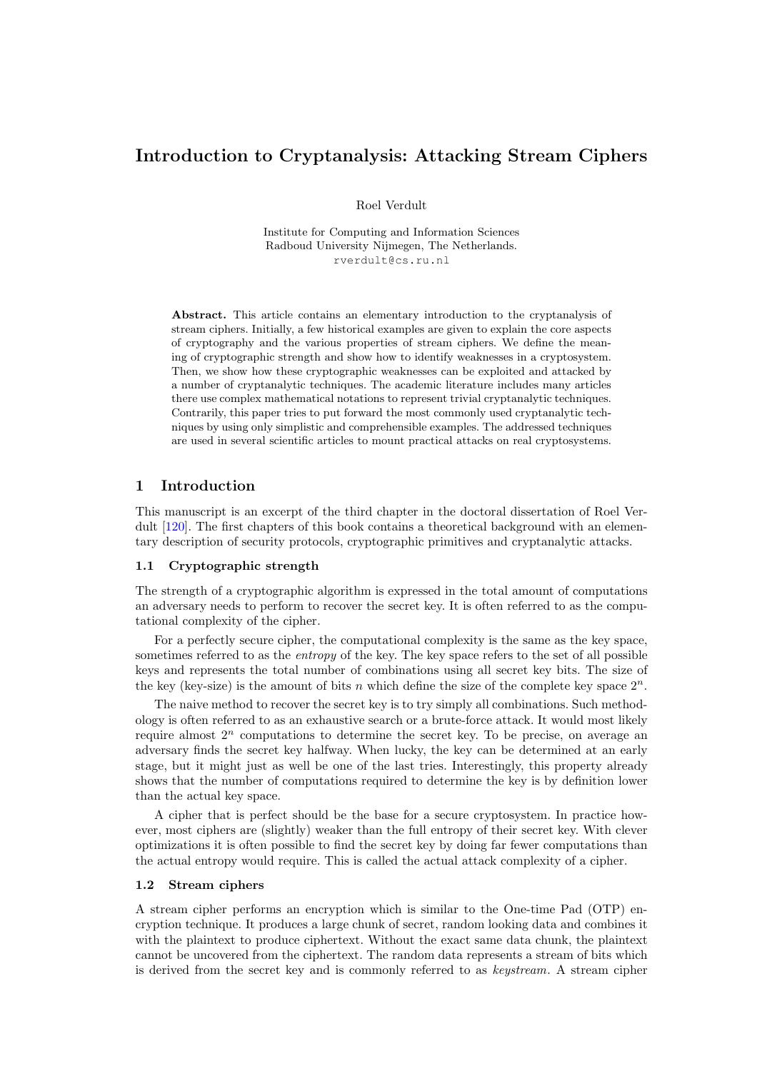# Introduction to Cryptanalysis: Attacking Stream Ciphers

Roel Verdult

Institute for Computing and Information Sciences Radboud University Nijmegen, The Netherlands. rverdult@cs.ru.nl

Abstract. This article contains an elementary introduction to the cryptanalysis of stream ciphers. Initially, a few historical examples are given to explain the core aspects of cryptography and the various properties of stream ciphers. We define the meaning of cryptographic strength and show how to identify weaknesses in a cryptosystem. Then, we show how these cryptographic weaknesses can be exploited and attacked by a number of cryptanalytic techniques. The academic literature includes many articles there use complex mathematical notations to represent trivial cryptanalytic techniques. Contrarily, this paper tries to put forward the most commonly used cryptanalytic techniques by using only simplistic and comprehensible examples. The addressed techniques are used in several scientific articles to mount practical attacks on real cryptosystems.

## 1 Introduction

This manuscript is an excerpt of the third chapter in the doctoral dissertation of Roel Verdult [\[120\]](#page-21-0). The first chapters of this book contains a theoretical background with an elementary description of security protocols, cryptographic primitives and cryptanalytic attacks.

### <span id="page-0-1"></span>1.1 Cryptographic strength

The strength of a cryptographic algorithm is expressed in the total amount of computations an adversary needs to perform to recover the secret key. It is often referred to as the computational complexity of the cipher.

For a perfectly secure cipher, the computational complexity is the same as the key space, sometimes referred to as the *entropy* of the key. The key space refers to the set of all possible keys and represents the total number of combinations using all secret key bits. The size of the key (key-size) is the amount of bits n which define the size of the complete key space  $2^n$ .

The naive method to recover the secret key is to try simply all combinations. Such methodology is often referred to as an exhaustive search or a brute-force attack. It would most likely require almost  $2^n$  computations to determine the secret key. To be precise, on average an adversary finds the secret key halfway. When lucky, the key can be determined at an early stage, but it might just as well be one of the last tries. Interestingly, this property already shows that the number of computations required to determine the key is by definition lower than the actual key space.

A cipher that is perfect should be the base for a secure cryptosystem. In practice however, most ciphers are (slightly) weaker than the full entropy of their secret key. With clever optimizations it is often possible to find the secret key by doing far fewer computations than the actual entropy would require. This is called the actual attack complexity of a cipher.

#### <span id="page-0-0"></span>1.2 Stream ciphers

<span id="page-0-2"></span>A stream cipher performs an encryption which is similar to the One-time Pad [\(OTP\)](#page-15-0) encryption technique. It produces a large chunk of secret, random looking data and combines it with the plaintext to produce ciphertext. Without the exact same data chunk, the plaintext cannot be uncovered from the ciphertext. The random data represents a stream of bits which is derived from the secret key and is commonly referred to as keystream. A stream cipher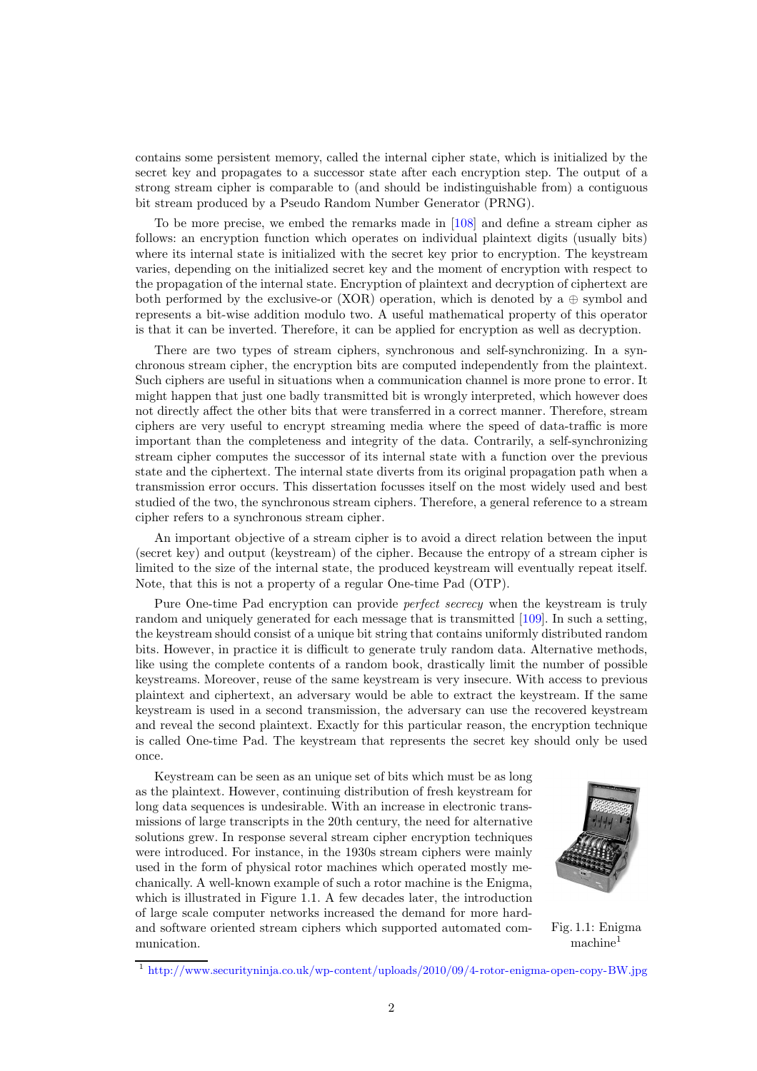contains some persistent memory, called the internal cipher state, which is initialized by the secret key and propagates to a successor state after each encryption step. The output of a strong stream cipher is comparable to (and should be indistinguishable from) a contiguous bit stream produced by a Pseudo Random Number Generator [\(PRNG\)](#page-15-1).

<span id="page-1-2"></span>To be more precise, we embed the remarks made in [\[108\]](#page-20-0) and define a stream cipher as follows: an encryption function which operates on individual plaintext digits (usually bits) where its internal state is initialized with the secret key prior to encryption. The keystream varies, depending on the initialized secret key and the moment of encryption with respect to the propagation of the internal state. Encryption of plaintext and decryption of ciphertext are both performed by the exclusive-or [\(XOR\)](#page-15-2) operation, which is denoted by a  $\oplus$  symbol and represents a bit-wise addition modulo two. A useful mathematical property of this operator is that it can be inverted. Therefore, it can be applied for encryption as well as decryption.

<span id="page-1-3"></span>There are two types of stream ciphers, synchronous and self-synchronizing. In a synchronous stream cipher, the encryption bits are computed independently from the plaintext. Such ciphers are useful in situations when a communication channel is more prone to error. It might happen that just one badly transmitted bit is wrongly interpreted, which however does not directly affect the other bits that were transferred in a correct manner. Therefore, stream ciphers are very useful to encrypt streaming media where the speed of data-traffic is more important than the completeness and integrity of the data. Contrarily, a self-synchronizing stream cipher computes the successor of its internal state with a function over the previous state and the ciphertext. The internal state diverts from its original propagation path when a transmission error occurs. This dissertation focusses itself on the most widely used and best studied of the two, the synchronous stream ciphers. Therefore, a general reference to a stream cipher refers to a synchronous stream cipher.

An important objective of a stream cipher is to avoid a direct relation between the input (secret key) and output (keystream) of the cipher. Because the entropy of a stream cipher is limited to the size of the internal state, the produced keystream will eventually repeat itself. Note, that this is not a property of a regular One-time Pad [\(OTP\)](#page-15-0).

Pure One-time Pad encryption can provide perfect secrecy when the keystream is truly random and uniquely generated for each message that is transmitted [\[109\]](#page-20-1). In such a setting, the keystream should consist of a unique bit string that contains uniformly distributed random bits. However, in practice it is difficult to generate truly random data. Alternative methods, like using the complete contents of a random book, drastically limit the number of possible keystreams. Moreover, reuse of the same keystream is very insecure. With access to previous plaintext and ciphertext, an adversary would be able to extract the keystream. If the same keystream is used in a second transmission, the adversary can use the recovered keystream and reveal the second plaintext. Exactly for this particular reason, the encryption technique is called One-time Pad. The keystream that represents the secret key should only be used once.

Keystream can be seen as an unique set of bits which must be as long as the plaintext. However, continuing distribution of fresh keystream for long data sequences is undesirable. With an increase in electronic transmissions of large transcripts in the 20th century, the need for alternative solutions grew. In response several stream cipher encryption techniques were introduced. For instance, in the 1930s stream ciphers were mainly used in the form of physical rotor machines which operated mostly mechanically. A well-known example of such a rotor machine is the Enigma, which is illustrated in Figure [1.1.](#page-1-1) A few decades later, the introduction of large scale computer networks increased the demand for more hardand software oriented stream ciphers which supported automated communication.

<span id="page-1-1"></span>

Fig. 1.1: Enigma machine<sup>[1](#page-1-0)</sup>

<span id="page-1-0"></span><sup>&</sup>lt;sup>1</sup> <http://www.securityninja.co.uk/wp-content/uploads/2010/09/4-rotor-enigma-open-copy-BW.jpg>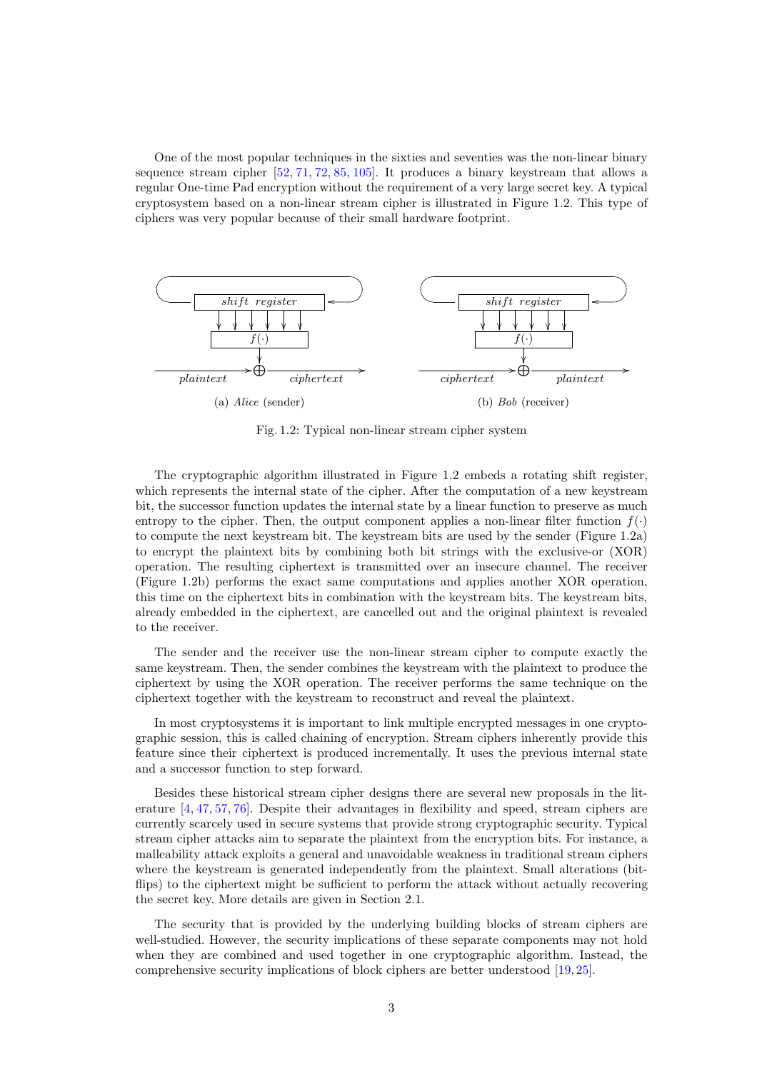One of the most popular techniques in the sixties and seventies was the non-linear binary sequence stream cipher [\[52,](#page-18-0) [71,](#page-19-0) [72,](#page-19-1) [85,](#page-19-2) [105\]](#page-20-2). It produces a binary keystream that allows a regular One-time Pad encryption without the requirement of a very large secret key. A typical cryptosystem based on a non-linear stream cipher is illustrated in Figure [1.2.](#page-2-0) This type of ciphers was very popular because of their small hardware footprint.

<span id="page-2-0"></span>

Fig. 1.2: Typical non-linear stream cipher system

The cryptographic algorithm illustrated in Figure [1.2](#page-2-0) embeds a rotating shift register, which represents the internal state of the cipher. After the computation of a new keystream bit, the successor function updates the internal state by a linear function to preserve as much entropy to the cipher. Then, the output component applies a non-linear filter function  $f(\cdot)$ to compute the next keystream bit. The keystream bits are used by the sender (Figure [1.2a\)](#page-2-0) to encrypt the plaintext bits by combining both bit strings with the exclusive-or [\(XOR\)](#page-15-2) operation. The resulting ciphertext is transmitted over an insecure channel. The receiver (Figure [1.2b\)](#page-2-0) performs the exact same computations and applies another [XOR](#page-15-2) operation, this time on the ciphertext bits in combination with the keystream bits. The keystream bits, already embedded in the ciphertext, are cancelled out and the original plaintext is revealed to the receiver.

The sender and the receiver use the non-linear stream cipher to compute exactly the same keystream. Then, the sender combines the keystream with the plaintext to produce the ciphertext by using the [XOR](#page-15-2) operation. The receiver performs the same technique on the ciphertext together with the keystream to reconstruct and reveal the plaintext.

In most cryptosystems it is important to link multiple encrypted messages in one cryptographic session, this is called chaining of encryption. Stream ciphers inherently provide this feature since their ciphertext is produced incrementally. It uses the previous internal state and a successor function to step forward.

Besides these historical stream cipher designs there are several new proposals in the literature [\[4,](#page-15-3) [47,](#page-17-0) [57,](#page-18-1) [76\]](#page-19-3). Despite their advantages in flexibility and speed, stream ciphers are currently scarcely used in secure systems that provide strong cryptographic security. Typical stream cipher attacks aim to separate the plaintext from the encryption bits. For instance, a malleability attack exploits a general and unavoidable weakness in traditional stream ciphers where the keystream is generated independently from the plaintext. Small alterations (bitflips) to the ciphertext might be sufficient to perform the attack without actually recovering the secret key. More details are given in Section [2.1.](#page-3-0)

The security that is provided by the underlying building blocks of stream ciphers are well-studied. However, the security implications of these separate components may not hold when they are combined and used together in one cryptographic algorithm. Instead, the comprehensive security implications of block ciphers are better understood [\[19,](#page-16-0) [25\]](#page-16-1).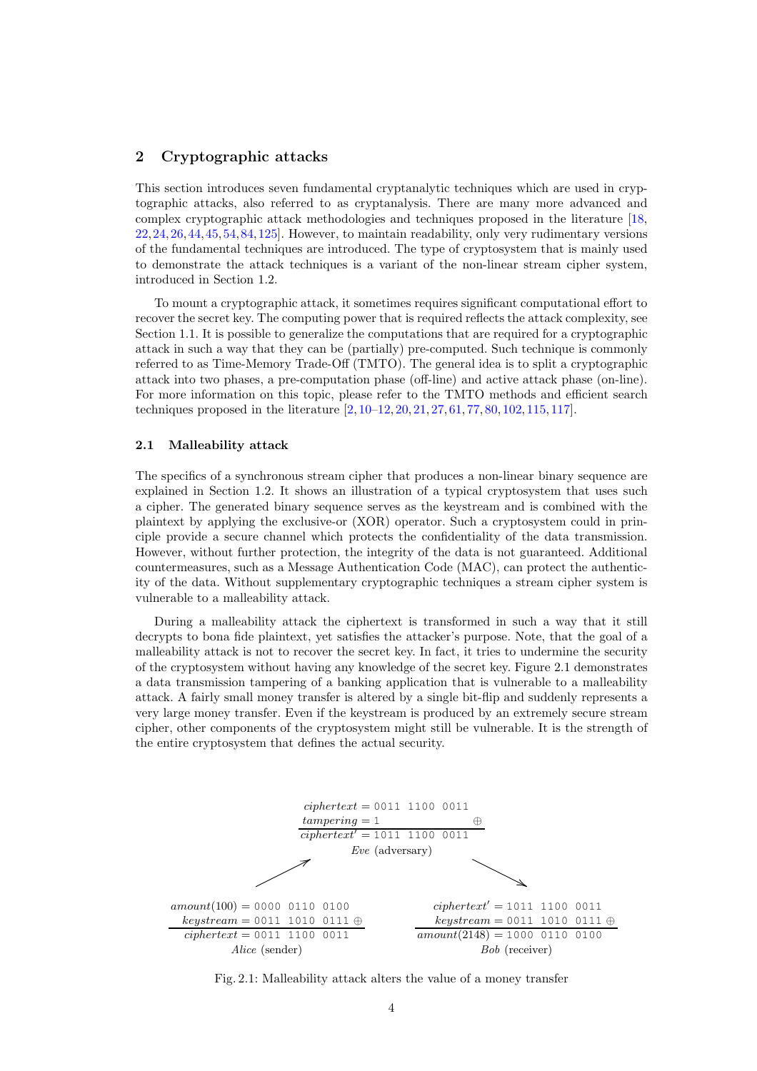### 2 Cryptographic attacks

This section introduces seven fundamental cryptanalytic techniques which are used in cryptographic attacks, also referred to as cryptanalysis. There are many more advanced and complex cryptographic attack methodologies and techniques proposed in the literature [\[18,](#page-16-2) [22,](#page-16-3)[24,](#page-16-4)[26,](#page-16-5)[44,](#page-17-1)[45,](#page-17-2)[54,](#page-18-2)[84,](#page-19-4)[125\]](#page-21-1). However, to maintain readability, only very rudimentary versions of the fundamental techniques are introduced. The type of cryptosystem that is mainly used to demonstrate the attack techniques is a variant of the non-linear stream cipher system, introduced in Section [1.2.](#page-0-0)

<span id="page-3-3"></span>To mount a cryptographic attack, it sometimes requires significant computational effort to recover the secret key. The computing power that is required reflects the attack complexity, see Section [1.1.](#page-0-1) It is possible to generalize the computations that are required for a cryptographic attack in such a way that they can be (partially) pre-computed. Such technique is commonly referred to as Time-Memory Trade-Off [\(TMTO\)](#page-15-4). The general idea is to split a cryptographic attack into two phases, a pre-computation phase (off-line) and active attack phase (on-line). For more information on this topic, please refer to the [TMTO](#page-15-4) methods and efficient search techniques proposed in the literature [\[2,](#page-15-5) [10–](#page-15-6)[12,](#page-15-7) [20,](#page-16-6) [21,](#page-16-7) [27,](#page-16-8) [61,](#page-18-3) [77,](#page-19-5) [80,](#page-19-6) [102,](#page-20-3) [115,](#page-20-4) [117\]](#page-21-2).

### <span id="page-3-0"></span>2.1 Malleability attack

The specifics of a synchronous stream cipher that produces a non-linear binary sequence are explained in Section [1.2.](#page-0-0) It shows an illustration of a typical cryptosystem that uses such a cipher. The generated binary sequence serves as the keystream and is combined with the plaintext by applying the exclusive-or [\(XOR\)](#page-15-2) operator. Such a cryptosystem could in principle provide a secure channel which protects the confidentiality of the data transmission. However, without further protection, the integrity of the data is not guaranteed. Additional countermeasures, such as a Message Authentication Code [\(MAC\)](#page-15-8), can protect the authenticity of the data. Without supplementary cryptographic techniques a stream cipher system is vulnerable to a malleability attack.

<span id="page-3-2"></span>During a malleability attack the ciphertext is transformed in such a way that it still decrypts to bona fide plaintext, yet satisfies the attacker's purpose. Note, that the goal of a malleability attack is not to recover the secret key. In fact, it tries to undermine the security of the cryptosystem without having any knowledge of the secret key. Figure [2.1](#page-3-1) demonstrates a data transmission tampering of a banking application that is vulnerable to a malleability attack. A fairly small money transfer is altered by a single bit-flip and suddenly represents a very large money transfer. Even if the keystream is produced by an extremely secure stream cipher, other components of the cryptosystem might still be vulnerable. It is the strength of the entire cryptosystem that defines the actual security.

<span id="page-3-1"></span>

Fig. 2.1: Malleability attack alters the value of a money transfer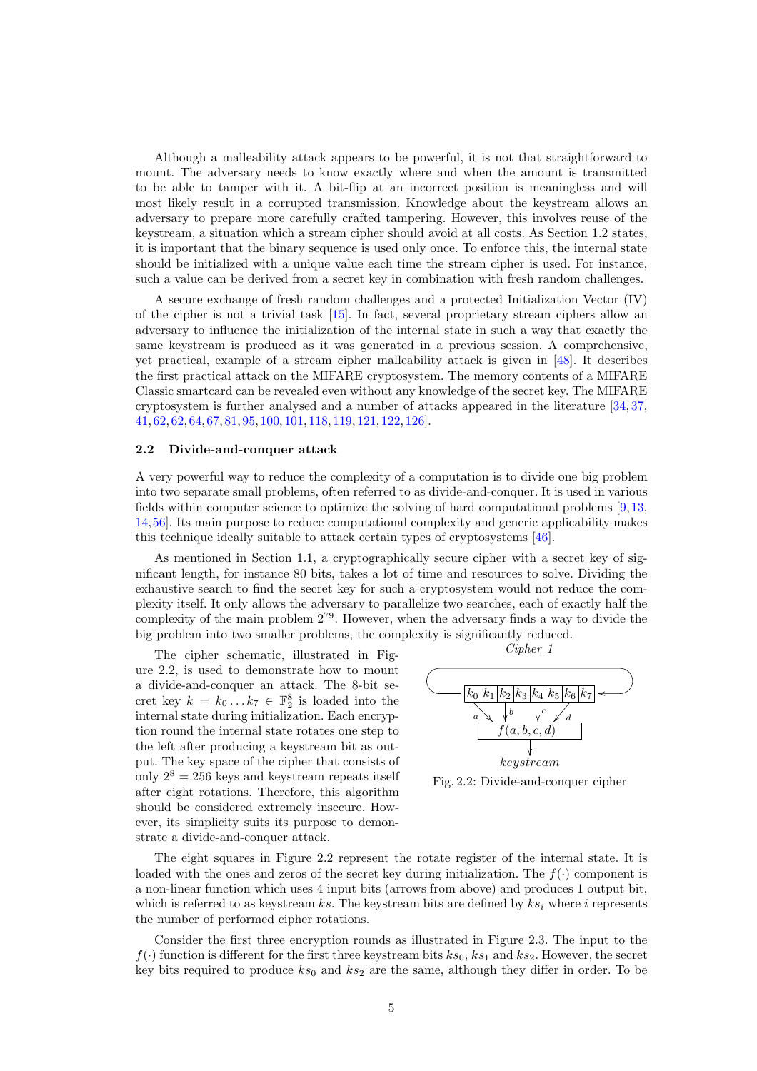Although a malleability attack appears to be powerful, it is not that straightforward to mount. The adversary needs to know exactly where and when the amount is transmitted to be able to tamper with it. A bit-flip at an incorrect position is meaningless and will most likely result in a corrupted transmission. Knowledge about the keystream allows an adversary to prepare more carefully crafted tampering. However, this involves reuse of the keystream, a situation which a stream cipher should avoid at all costs. As Section [1.2](#page-0-0) states, it is important that the binary sequence is used only once. To enforce this, the internal state should be initialized with a unique value each time the stream cipher is used. For instance, such a value can be derived from a secret key in combination with fresh random challenges.

A secure exchange of fresh random challenges and a protected Initialization Vector [\(IV\)](#page-15-9) of the cipher is not a trivial task [\[15\]](#page-16-9). In fact, several proprietary stream ciphers allow an adversary to influence the initialization of the internal state in such a way that exactly the same keystream is produced as it was generated in a previous session. A comprehensive, yet practical, example of a stream cipher malleability attack is given in [\[48\]](#page-17-3). It describes the first practical attack on the MIFARE cryptosystem. The memory contents of a MIFARE Classic smartcard can be revealed even without any knowledge of the secret key. The MIFARE cryptosystem is further analysed and a number of attacks appeared in the literature [\[34,](#page-17-4) [37,](#page-17-5) [41,](#page-17-6) [62,](#page-18-4) [62,](#page-18-4) [64,](#page-18-5) [67,](#page-18-6) [81,](#page-19-7) [95,](#page-20-5) [100,](#page-20-6) [101,](#page-20-7) [118,](#page-21-3) [119,](#page-21-4) [121,](#page-21-5) [122,](#page-21-6) [126\]](#page-21-7).

#### <span id="page-4-1"></span>2.2 Divide-and-conquer attack

A very powerful way to reduce the complexity of a computation is to divide one big problem into two separate small problems, often referred to as divide-and-conquer. It is used in various fields within computer science to optimize the solving of hard computational problems [\[9,](#page-15-10)[13,](#page-16-10) [14,](#page-16-11)[56\]](#page-18-7). Its main purpose to reduce computational complexity and generic applicability makes this technique ideally suitable to attack certain types of cryptosystems [\[46\]](#page-17-7).

As mentioned in Section [1.1,](#page-0-1) a cryptographically secure cipher with a secret key of significant length, for instance 80 bits, takes a lot of time and resources to solve. Dividing the exhaustive search to find the secret key for such a cryptosystem would not reduce the complexity itself. It only allows the adversary to parallelize two searches, each of exactly half the complexity of the main problem 2<sup>79</sup>. However, when the adversary finds a way to divide the big problem into two smaller problems, the complexity is significantly reduced.

The cipher schematic, illustrated in Figure [2.2,](#page-4-0) is used to demonstrate how to mount a divide-and-conquer an attack. The 8-bit secret key  $k = k_0 ... k_7 \in \mathbb{F}_2^8$  is loaded into the internal state during initialization. Each encryption round the internal state rotates one step to the left after producing a keystream bit as output. The key space of the cipher that consists of only  $2^8 = 256$  keys and keystream repeats itself after eight rotations. Therefore, this algorithm should be considered extremely insecure. However, its simplicity suits its purpose to demonstrate a divide-and-conquer attack.

<span id="page-4-2"></span><span id="page-4-0"></span>

Fig. 2.2: Divide-and-conquer cipher

The eight squares in Figure [2.2](#page-4-0) represent the rotate register of the internal state. It is loaded with the ones and zeros of the secret key during initialization. The  $f(\cdot)$  component is a non-linear function which uses 4 input bits (arrows from above) and produces 1 output bit, which is referred to as keystream ks. The keystream bits are defined by  $ks_i$  where i represents the number of performed cipher rotations.

Consider the first three encryption rounds as illustrated in Figure [2.3.](#page-5-0) The input to the  $f(\cdot)$  function is different for the first three keystream bits  $ks_0$ ,  $ks_1$  and  $ks_2$ . However, the secret key bits required to produce  $ks_0$  and  $ks_2$  are the same, although they differ in order. To be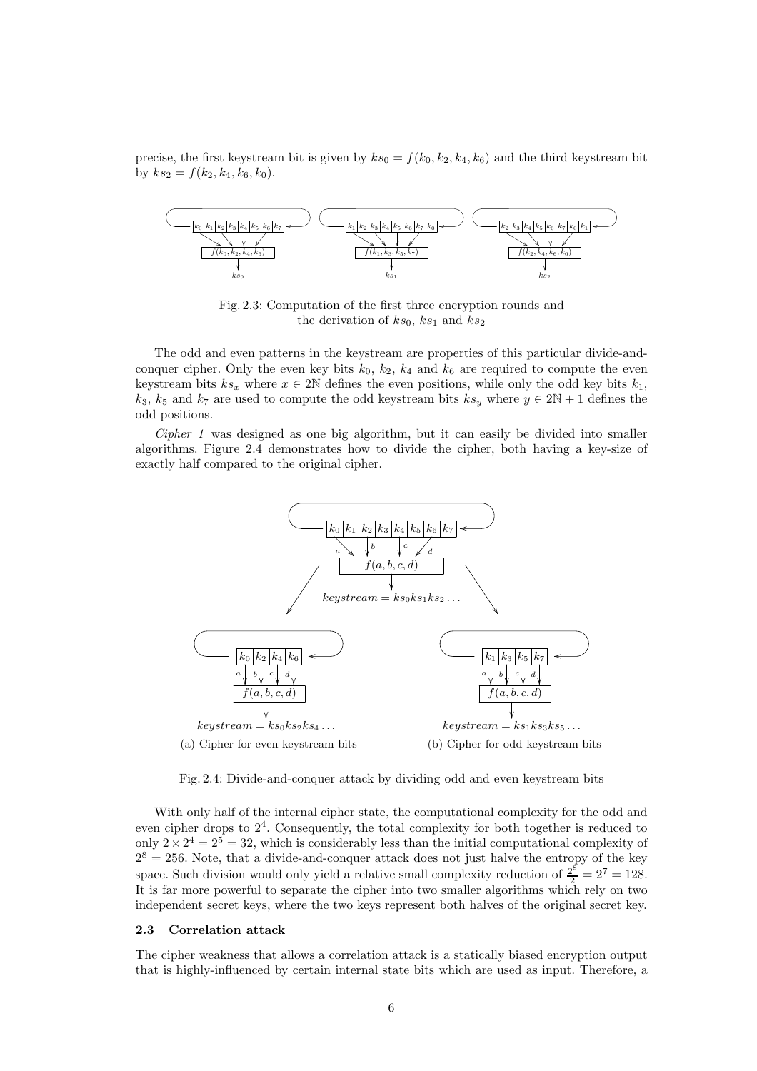precise, the first keystream bit is given by  $ks_0 = f(k_0, k_2, k_4, k_6)$  and the third keystream bit by  $ks_2 = f(k_2, k_4, k_6, k_0)$ .

<span id="page-5-0"></span>

Fig. 2.3: Computation of the first three encryption rounds and the derivation of  $ks_0$ ,  $ks_1$  and  $ks_2$ 

The odd and even patterns in the keystream are properties of this particular divide-andconquer cipher. Only the even key bits  $k_0$ ,  $k_2$ ,  $k_4$  and  $k_6$  are required to compute the even keystream bits  $ks_x$  where  $x \in 2\mathbb{N}$  defines the even positions, while only the odd key bits  $k_1$ ,  $k_3$ ,  $k_5$  and  $k_7$  are used to compute the odd keystream bits  $ks_y$  where  $y \in 2N + 1$  defines the odd positions.

Cipher 1 was designed as one big algorithm, but it can easily be divided into smaller algorithms. Figure [2.4](#page-5-1) demonstrates how to divide the cipher, both having a key-size of exactly half compared to the original cipher.

<span id="page-5-1"></span>

Fig. 2.4: Divide-and-conquer attack by dividing odd and even keystream bits

With only half of the internal cipher state, the computational complexity for the odd and even cipher drops to 2<sup>4</sup> . Consequently, the total complexity for both together is reduced to only  $2 \times 2^4 = 2^5 = 32$ , which is considerably less than the initial computational complexity of  $2^8 = 256$ . Note, that a divide-and-conquer attack does not just halve the entropy of the key space. Such division would only yield a relative small complexity reduction of  $\frac{2^{\tilde{s}}}{2} = 2^7 = 128$ . It is far more powerful to separate the cipher into two smaller algorithms which rely on two independent secret keys, where the two keys represent both halves of the original secret key.

#### <span id="page-5-2"></span>2.3 Correlation attack

The cipher weakness that allows a correlation attack is a statically biased encryption output that is highly-influenced by certain internal state bits which are used as input. Therefore, a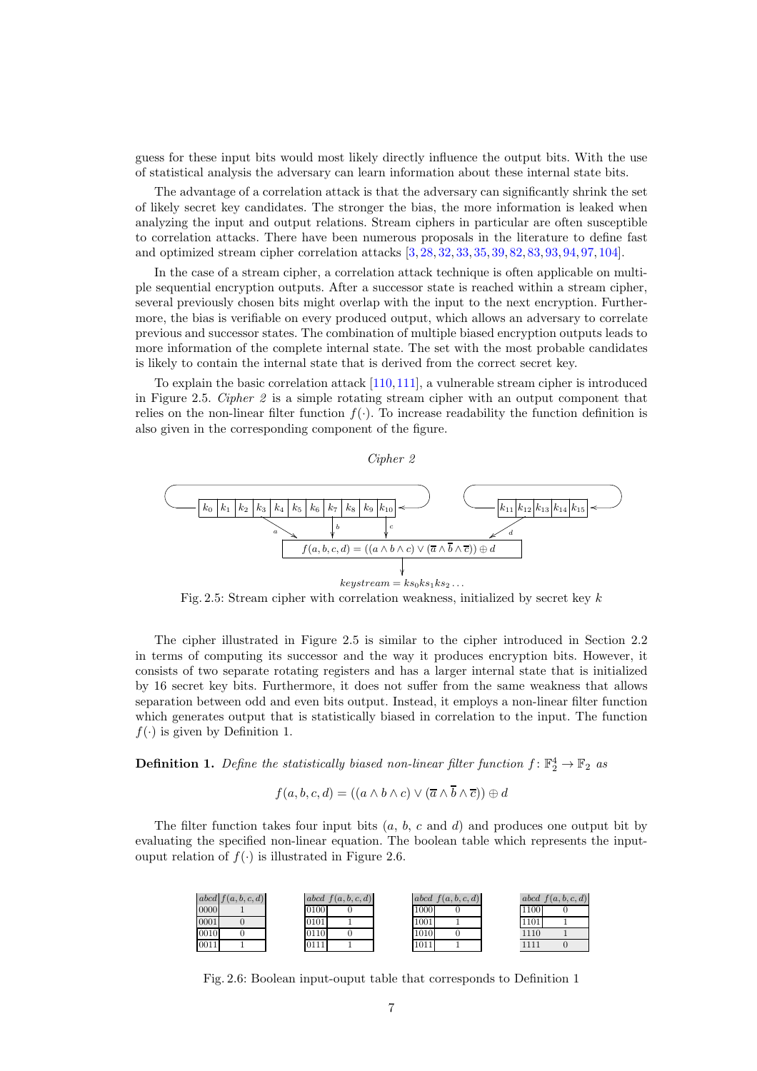guess for these input bits would most likely directly influence the output bits. With the use of statistical analysis the adversary can learn information about these internal state bits.

The advantage of a correlation attack is that the adversary can significantly shrink the set of likely secret key candidates. The stronger the bias, the more information is leaked when analyzing the input and output relations. Stream ciphers in particular are often susceptible to correlation attacks. There have been numerous proposals in the literature to define fast and optimized stream cipher correlation attacks [\[3,](#page-15-11) [28,](#page-16-12) [32,](#page-17-8) [33,](#page-17-9) [35,](#page-17-10) [39,](#page-17-11) [82,](#page-19-8) [83,](#page-19-9) [93,](#page-20-8) [94,](#page-20-9) [97,](#page-20-10) [104\]](#page-20-11).

In the case of a stream cipher, a correlation attack technique is often applicable on multiple sequential encryption outputs. After a successor state is reached within a stream cipher, several previously chosen bits might overlap with the input to the next encryption. Furthermore, the bias is verifiable on every produced output, which allows an adversary to correlate previous and successor states. The combination of multiple biased encryption outputs leads to more information of the complete internal state. The set with the most probable candidates is likely to contain the internal state that is derived from the correct secret key.

To explain the basic correlation attack [\[110,](#page-20-12)[111\]](#page-20-13), a vulnerable stream cipher is introduced in Figure [2.5.](#page-6-0) Cipher 2 is a simple rotating stream cipher with an output component that relies on the non-linear filter function  $f(.)$ . To increase readability the function definition is also given in the corresponding component of the figure.



<span id="page-6-0"></span>

Fig. 2.5: Stream cipher with correlation weakness, initialized by secret key k

The cipher illustrated in Figure [2.5](#page-6-0) is similar to the cipher introduced in Section [2.2](#page-4-1) in terms of computing its successor and the way it produces encryption bits. However, it consists of two separate rotating registers and has a larger internal state that is initialized by 16 secret key bits. Furthermore, it does not suffer from the same weakness that allows separation between odd and even bits output. Instead, it employs a non-linear filter function which generates output that is statistically biased in correlation to the input. The function  $f(\cdot)$  is given by Definition [1.](#page-6-1)

<span id="page-6-1"></span>**Definition 1.** Define the statistically biased non-linear filter function  $f: \mathbb{F}_2^4 \to \mathbb{F}_2$  as

$$
f(a, b, c, d) = ((a \wedge b \wedge c) \vee (\overline{a} \wedge b \wedge \overline{c})) \oplus d
$$

<span id="page-6-2"></span>The filter function takes four input bits  $(a, b, c \text{ and } d)$  and produces one output bit by evaluating the specified non-linear equation. The boolean table which represents the inputouput relation of  $f(.)$  is illustrated in Figure [2.6.](#page-6-2)

|      | abcd $f(a, b, c, d)$ |      | abcd f(a,b,c,d) |      | abcd f(a,b,c,d) |      | abcd f(a,b,c,d) |
|------|----------------------|------|-----------------|------|-----------------|------|-----------------|
| 0000 |                      | 0100 |                 | 1000 |                 | 1100 |                 |
| 0001 |                      | 0101 |                 | 1001 |                 | 1101 |                 |
| 0010 |                      | 0110 |                 | 1010 |                 | 1110 |                 |
| 0011 |                      | 0111 |                 | 1011 |                 | 1111 |                 |

Fig. 2.6: Boolean input-ouput table that corresponds to Definition [1](#page-6-1)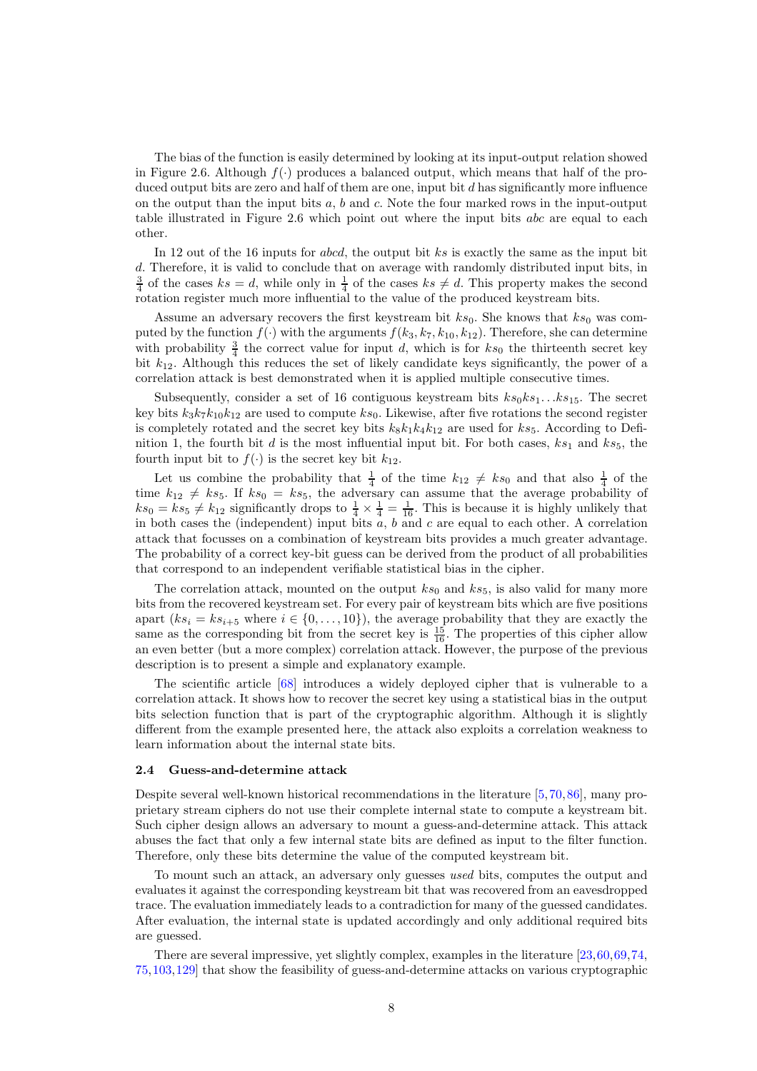The bias of the function is easily determined by looking at its input-output relation showed in Figure [2.6.](#page-6-2) Although  $f(\cdot)$  produces a balanced output, which means that half of the produced output bits are zero and half of them are one, input bit  $d$  has significantly more influence on the output than the input bits  $a, b$  and  $c$ . Note the four marked rows in the input-output table illustrated in Figure [2.6](#page-6-2) which point out where the input bits abc are equal to each other.

In 12 out of the 16 inputs for *abcd*, the output bit ks is exactly the same as the input bit d. Therefore, it is valid to conclude that on average with randomly distributed input bits, in  $\frac{3}{4}$  of the cases  $ks = d$ , while only in  $\frac{1}{4}$  of the cases  $ks \neq d$ . This property makes the second rotation register much more influential to the value of the produced keystream bits.

Assume an adversary recovers the first keystream bit  $ks_0$ . She knows that  $ks_0$  was computed by the function  $f(\cdot)$  with the arguments  $f(k_3, k_7, k_{10}, k_{12})$ . Therefore, she can determine with probability  $\frac{3}{4}$  the correct value for input d, which is for  $ks_0$  the thirteenth secret key bit  $k_{12}$ . Although this reduces the set of likely candidate keys significantly, the power of a correlation attack is best demonstrated when it is applied multiple consecutive times.

Subsequently, consider a set of 16 contiguous keystream bits  $ks_0ks_1...ks_{15}$ . The secret key bits  $k_3k_7k_{10}k_{12}$  are used to compute  $ks_0$ . Likewise, after five rotations the second register is completely rotated and the secret key bits  $k_8k_1k_4k_{12}$  are used for  $ks_5$ . According to Defi-nition [1,](#page-6-1) the fourth bit d is the most influential input bit. For both cases,  $ks_1$  and  $ks_5$ , the fourth input bit to  $f(\cdot)$  is the secret key bit  $k_{12}$ .

Let us combine the probability that  $\frac{1}{4}$  of the time  $k_{12} \neq ks_0$  and that also  $\frac{1}{4}$  of the time  $k_{12} \neq ks_5$ . If  $ks_0 = ks_5$ , the adversary can assume that the average probability of  $ks_0 = ks_5 \neq k_{12}$  significantly drops to  $\frac{1}{4} \times \frac{1}{4} = \frac{1}{16}$ . This is because it is highly unlikely that in both cases the (independent) input bits  $\overline{a}$ ,  $\overline{b}$  and  $\overline{c}$  are equal to each other. A correlation attack that focusses on a combination of keystream bits provides a much greater advantage. The probability of a correct key-bit guess can be derived from the product of all probabilities that correspond to an independent verifiable statistical bias in the cipher.

The correlation attack, mounted on the output  $ks_0$  and  $ks_5$ , is also valid for many more bits from the recovered keystream set. For every pair of keystream bits which are five positions apart  $(ks_i = ks_{i+5}$  where  $i \in \{0, \ldots, 10\}$ , the average probability that they are exactly the same as the corresponding bit from the secret key is  $\frac{15}{16}$ . The properties of this cipher allow an even better (but a more complex) correlation attack. However, the purpose of the previous description is to present a simple and explanatory example.

The scientific article [\[68\]](#page-18-8) introduces a widely deployed cipher that is vulnerable to a correlation attack. It shows how to recover the secret key using a statistical bias in the output bits selection function that is part of the cryptographic algorithm. Although it is slightly different from the example presented here, the attack also exploits a correlation weakness to learn information about the internal state bits.

#### 2.4 Guess-and-determine attack

Despite several well-known historical recommendations in the literature [\[5,](#page-15-12)[70,](#page-19-10)[86\]](#page-19-11), many proprietary stream ciphers do not use their complete internal state to compute a keystream bit. Such cipher design allows an adversary to mount a guess-and-determine attack. This attack abuses the fact that only a few internal state bits are defined as input to the filter function. Therefore, only these bits determine the value of the computed keystream bit.

To mount such an attack, an adversary only guesses used bits, computes the output and evaluates it against the corresponding keystream bit that was recovered from an eavesdropped trace. The evaluation immediately leads to a contradiction for many of the guessed candidates. After evaluation, the internal state is updated accordingly and only additional required bits are guessed.

There are several impressive, yet slightly complex, examples in the literature [\[23,](#page-16-13)[60,](#page-18-9)[69,](#page-18-10)[74,](#page-19-12) [75,](#page-19-13)[103,](#page-20-14)[129\]](#page-21-8) that show the feasibility of guess-and-determine attacks on various cryptographic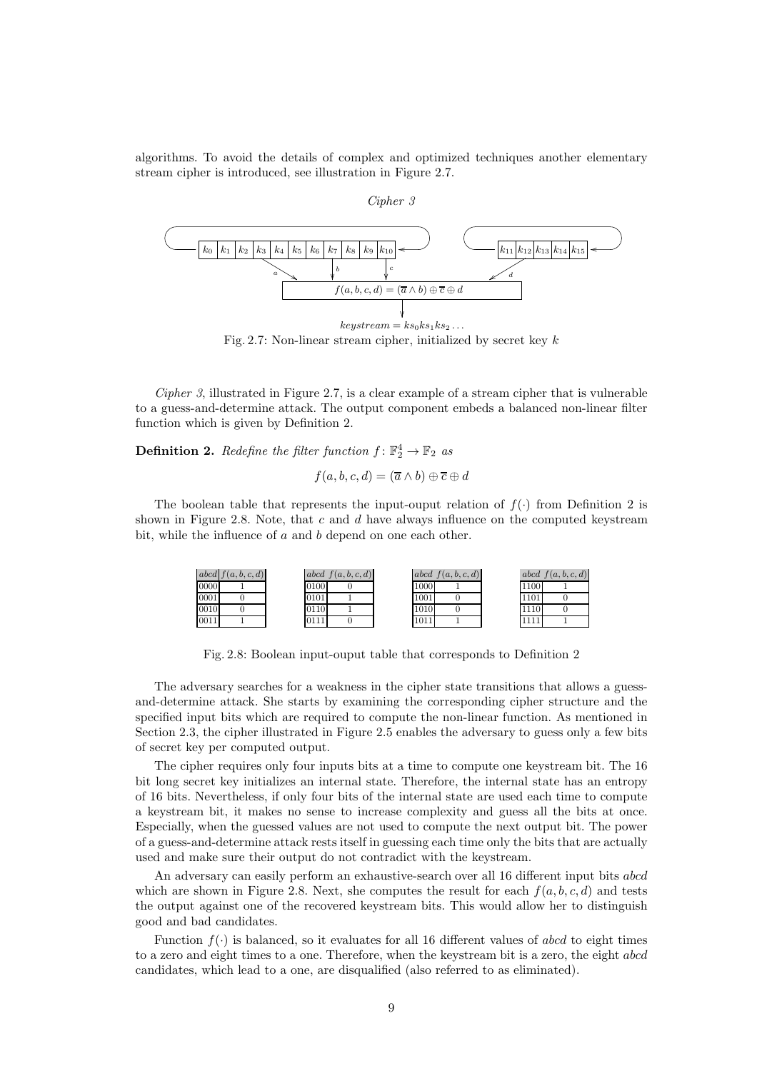<span id="page-8-0"></span>algorithms. To avoid the details of complex and optimized techniques another elementary stream cipher is introduced, see illustration in Figure [2.7.](#page-8-0)

## Cipher 3



Fig. 2.7: Non-linear stream cipher, initialized by secret key  $k$ 

Cipher 3, illustrated in Figure [2.7,](#page-8-0) is a clear example of a stream cipher that is vulnerable to a guess-and-determine attack. The output component embeds a balanced non-linear filter function which is given by Definition [2.](#page-8-1)

<span id="page-8-1"></span>**Definition 2.** Redefine the filter function  $f: \mathbb{F}_2^4 \to \mathbb{F}_2$  as

$$
f(a, b, c, d) = (\overline{a} \wedge b) \oplus \overline{c} \oplus d
$$

<span id="page-8-2"></span>The boolean table that represents the input-ouput relation of  $f(.)$  from Definition [2](#page-8-1) is shown in Figure [2.8.](#page-8-2) Note, that  $c$  and  $d$  have always influence on the computed keystream bit, while the influence of a and b depend on one each other.

|      | abcd $f(a, b, c, d)$ |      | abcd f(a,b,c,d) |      | abcd f(a,b,c,d) |      | $abcd \,   \, f(a,b,c,d)$ |
|------|----------------------|------|-----------------|------|-----------------|------|---------------------------|
| 0000 |                      | 0100 |                 | 1000 |                 | 1100 |                           |
| 0001 |                      | 0101 |                 | 1001 |                 | 1101 |                           |
| 0010 |                      | 0110 |                 | 1010 |                 | 1110 |                           |
| 0011 |                      | 0111 |                 | 1011 |                 |      |                           |

Fig. 2.8: Boolean input-ouput table that corresponds to Definition [2](#page-8-1)

The adversary searches for a weakness in the cipher state transitions that allows a guessand-determine attack. She starts by examining the corresponding cipher structure and the specified input bits which are required to compute the non-linear function. As mentioned in Section [2.3,](#page-5-2) the cipher illustrated in Figure [2.5](#page-6-0) enables the adversary to guess only a few bits of secret key per computed output.

The cipher requires only four inputs bits at a time to compute one keystream bit. The 16 bit long secret key initializes an internal state. Therefore, the internal state has an entropy of 16 bits. Nevertheless, if only four bits of the internal state are used each time to compute a keystream bit, it makes no sense to increase complexity and guess all the bits at once. Especially, when the guessed values are not used to compute the next output bit. The power of a guess-and-determine attack rests itself in guessing each time only the bits that are actually used and make sure their output do not contradict with the keystream.

An adversary can easily perform an exhaustive-search over all 16 different input bits abcd which are shown in Figure [2.8.](#page-8-2) Next, she computes the result for each  $f(a, b, c, d)$  and tests the output against one of the recovered keystream bits. This would allow her to distinguish good and bad candidates.

Function  $f(\cdot)$  is balanced, so it evaluates for all 16 different values of abcd to eight times to a zero and eight times to a one. Therefore, when the keystream bit is a zero, the eight abcd candidates, which lead to a one, are disqualified (also referred to as eliminated).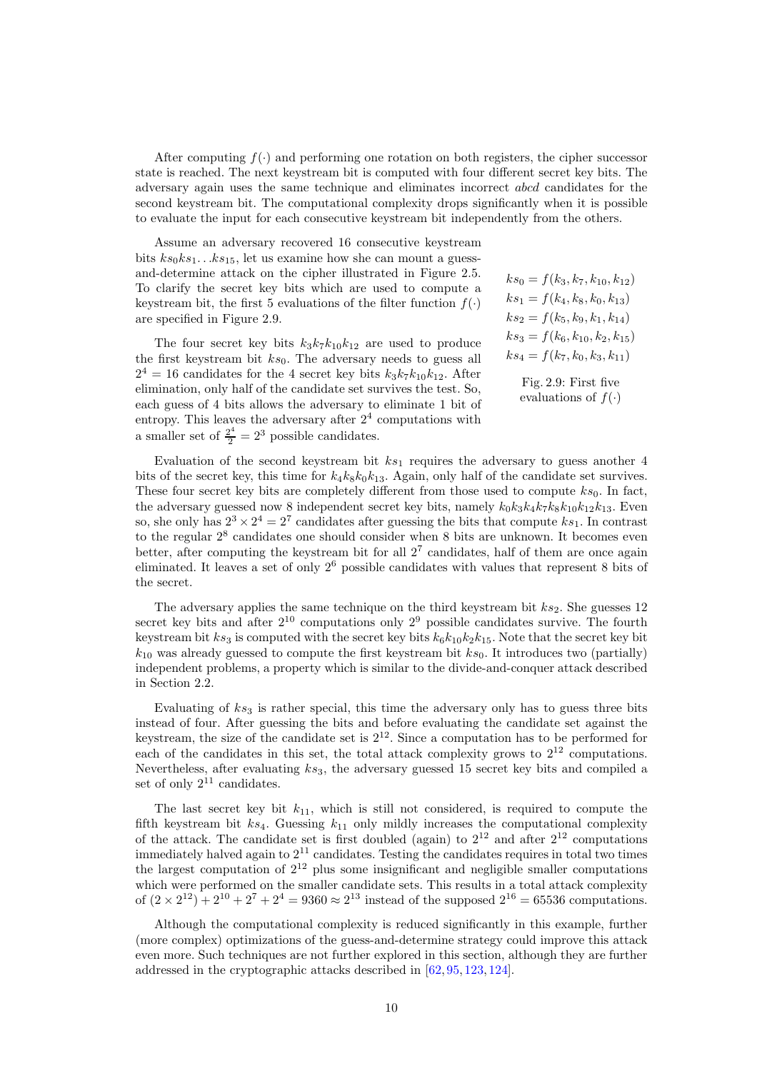After computing  $f(\cdot)$  and performing one rotation on both registers, the cipher successor state is reached. The next keystream bit is computed with four different secret key bits. The adversary again uses the same technique and eliminates incorrect abcd candidates for the second keystream bit. The computational complexity drops significantly when it is possible to evaluate the input for each consecutive keystream bit independently from the others.

 $ks_0 = f(k_3, k_7, k_{10}, k_{12})$  $ks_1 = f(k_4, k_8, k_0, k_{13})$  $ks_2 = f(k_5, k_9, k_1, k_{14})$  $ks_3 = f(k_6, k_{10}, k_2, k_{15})$  $ks_4 = f(k_7, k_0, k_3, k_{11})$ Assume an adversary recovered 16 consecutive keystream bits  $ks_0ks_1...ks_{15}$ , let us examine how she can mount a guessand-determine attack on the cipher illustrated in Figure [2.5.](#page-6-0) To clarify the secret key bits which are used to compute a keystream bit, the first 5 evaluations of the filter function  $f(.)$ are specified in Figure [2.9.](#page-9-0) The four secret key bits  $k_3k_7k_{10}k_{12}$  are used to produce the first keystream bit  $ks_0$ . The adversary needs to guess all

 $2^4 = 16$  candidates for the 4 secret key bits  $k_3k_7k_{10}k_{12}$ . After elimination, only half of the candidate set survives the test. So, each guess of 4 bits allows the adversary to eliminate 1 bit of entropy. This leaves the adversary after  $2<sup>4</sup>$  computations with a smaller set of  $\frac{2^4}{2} = 2^3$  possible candidates.

<span id="page-9-0"></span>Fig. 2.9: First five

evaluations of  $f(\cdot)$ 

Evaluation of the second keystream bit  $ks_1$  requires the adversary to guess another 4 bits of the secret key, this time for  $k_4k_8k_0k_{13}$ . Again, only half of the candidate set survives. These four secret key bits are completely different from those used to compute  $ks_0$ . In fact, the adversary guessed now 8 independent secret key bits, namely  $k_0k_3k_4k_7k_8k_{10}k_{12}k_{13}$ . Even so, she only has  $2^3 \times 2^4 = 2^7$  candidates after guessing the bits that compute  $ks_1$ . In contrast to the regular  $2^8$  candidates one should consider when 8 bits are unknown. It becomes even better, after computing the keystream bit for all  $2<sup>7</sup>$  candidates, half of them are once again eliminated. It leaves a set of only  $2<sup>6</sup>$  possible candidates with values that represent 8 bits of the secret.

The adversary applies the same technique on the third keystream bit  $ks_2$ . She guesses 12 secret key bits and after  $2^{10}$  computations only  $2^9$  possible candidates survive. The fourth keystream bit  $ks_3$  is computed with the secret key bits  $k_6k_{10}k_2k_{15}$ . Note that the secret key bit  $k_{10}$  was already guessed to compute the first keystream bit  $ks_0$ . It introduces two (partially) independent problems, a property which is similar to the divide-and-conquer attack described in Section [2.2.](#page-4-1)

Evaluating of  $ks_3$  is rather special, this time the adversary only has to guess three bits instead of four. After guessing the bits and before evaluating the candidate set against the keystream, the size of the candidate set is  $2^{12}$ . Since a computation has to be performed for each of the candidates in this set, the total attack complexity grows to  $2^{12}$  computations. Nevertheless, after evaluating  $ks_3$ , the adversary guessed 15 secret key bits and compiled a set of only  $2^{11}$  candidates.

The last secret key bit  $k_{11}$ , which is still not considered, is required to compute the fifth keystream bit  $ks_4$ . Guessing  $k_{11}$  only mildly increases the computational complexity of the attack. The candidate set is first doubled (again) to  $2^{12}$  and after  $2^{12}$  computations immediately halved again to  $2^{11}$  candidates. Testing the candidates requires in total two times the largest computation of  $2^{12}$  plus some insignificant and negligible smaller computations which were performed on the smaller candidate sets. This results in a total attack complexity of  $(2 \times 2^{12}) + 2^{10} + 2^7 + 2^4 = 9360 \approx 2^{13}$  instead of the supposed  $2^{16} = 65536$  computations.

Although the computational complexity is reduced significantly in this example, further (more complex) optimizations of the guess-and-determine strategy could improve this attack even more. Such techniques are not further explored in this section, although they are further addressed in the cryptographic attacks described in [\[62,](#page-18-4) [95,](#page-20-5) [123,](#page-21-9) [124\]](#page-21-10).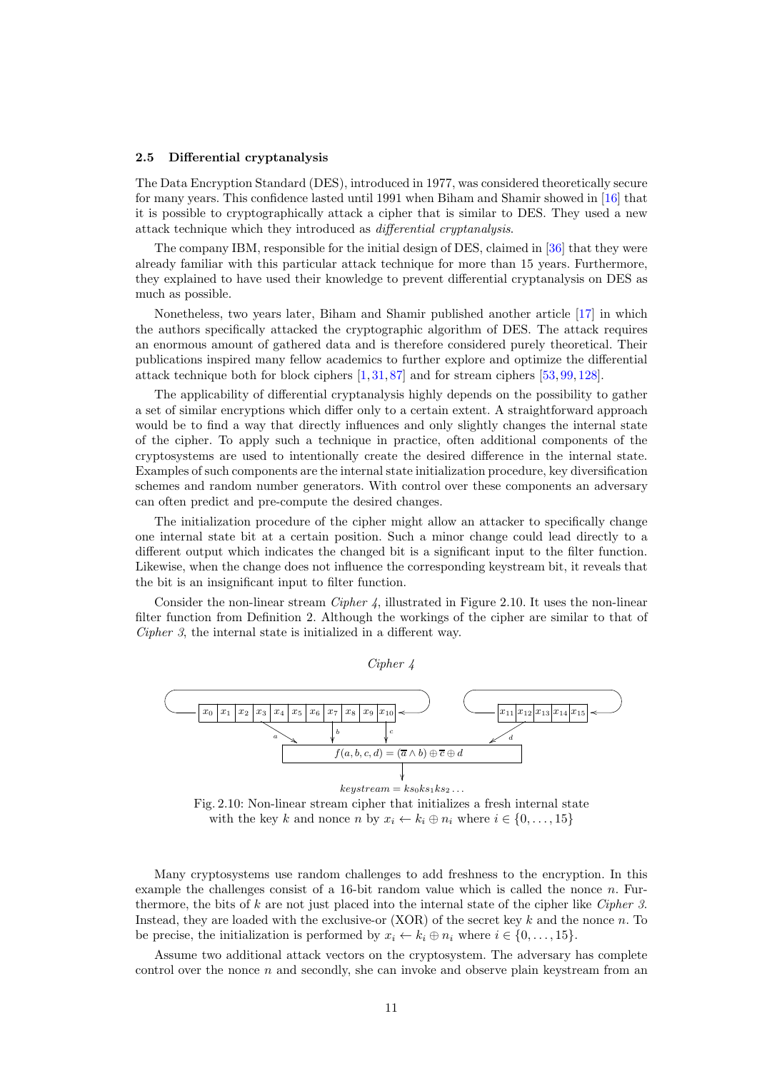#### 2.5 Differential cryptanalysis

<span id="page-10-1"></span>The Data Encryption Standard [\(DES\)](#page-15-13), introduced in 1977, was considered theoretically secure for many years. This confidence lasted until 1991 when Biham and Shamir showed in [\[16\]](#page-16-14) that it is possible to cryptographically attack a cipher that is similar to [DES.](#page-15-13) They used a new attack technique which they introduced as differential cryptanalysis.

The company IBM, responsible for the initial design of [DES,](#page-15-13) claimed in [\[36\]](#page-17-12) that they were already familiar with this particular attack technique for more than 15 years. Furthermore, they explained to have used their knowledge to prevent differential cryptanalysis on [DES](#page-15-13) as much as possible.

Nonetheless, two years later, Biham and Shamir published another article [\[17\]](#page-16-15) in which the authors specifically attacked the cryptographic algorithm of [DES.](#page-15-13) The attack requires an enormous amount of gathered data and is therefore considered purely theoretical. Their publications inspired many fellow academics to further explore and optimize the differential attack technique both for block ciphers  $[1, 31, 87]$  $[1, 31, 87]$  $[1, 31, 87]$  $[1, 31, 87]$  and for stream ciphers  $[53, 99, 128]$  $[53, 99, 128]$  $[53, 99, 128]$  $[53, 99, 128]$ .

The applicability of differential cryptanalysis highly depends on the possibility to gather a set of similar encryptions which differ only to a certain extent. A straightforward approach would be to find a way that directly influences and only slightly changes the internal state of the cipher. To apply such a technique in practice, often additional components of the cryptosystems are used to intentionally create the desired difference in the internal state. Examples of such components are the internal state initialization procedure, key diversification schemes and random number generators. With control over these components an adversary can often predict and pre-compute the desired changes.

The initialization procedure of the cipher might allow an attacker to specifically change one internal state bit at a certain position. Such a minor change could lead directly to a different output which indicates the changed bit is a significant input to the filter function. Likewise, when the change does not influence the corresponding keystream bit, it reveals that the bit is an insignificant input to filter function.

Consider the non-linear stream Cipher 4, illustrated in Figure [2.10.](#page-10-0) It uses the non-linear filter function from Definition [2.](#page-8-1) Although the workings of the cipher are similar to that of Cipher 3, the internal state is initialized in a different way.

Cipher 4

<span id="page-10-0"></span>

Fig. 2.10: Non-linear stream cipher that initializes a fresh internal state with the key k and nonce n by  $x_i \leftarrow k_i \oplus n_i$  where  $i \in \{0, \ldots, 15\}$ 

Many cryptosystems use random challenges to add freshness to the encryption. In this example the challenges consist of a 16-bit random value which is called the nonce  $n$ . Furthermore, the bits of  $k$  are not just placed into the internal state of the cipher like Cipher 3. Instead, they are loaded with the exclusive-or  $(XOR)$  of the secret key k and the nonce n. To be precise, the initialization is performed by  $x_i \leftarrow k_i \oplus n_i$  where  $i \in \{0, \ldots, 15\}.$ 

Assume two additional attack vectors on the cryptosystem. The adversary has complete control over the nonce  $n$  and secondly, she can invoke and observe plain keystream from an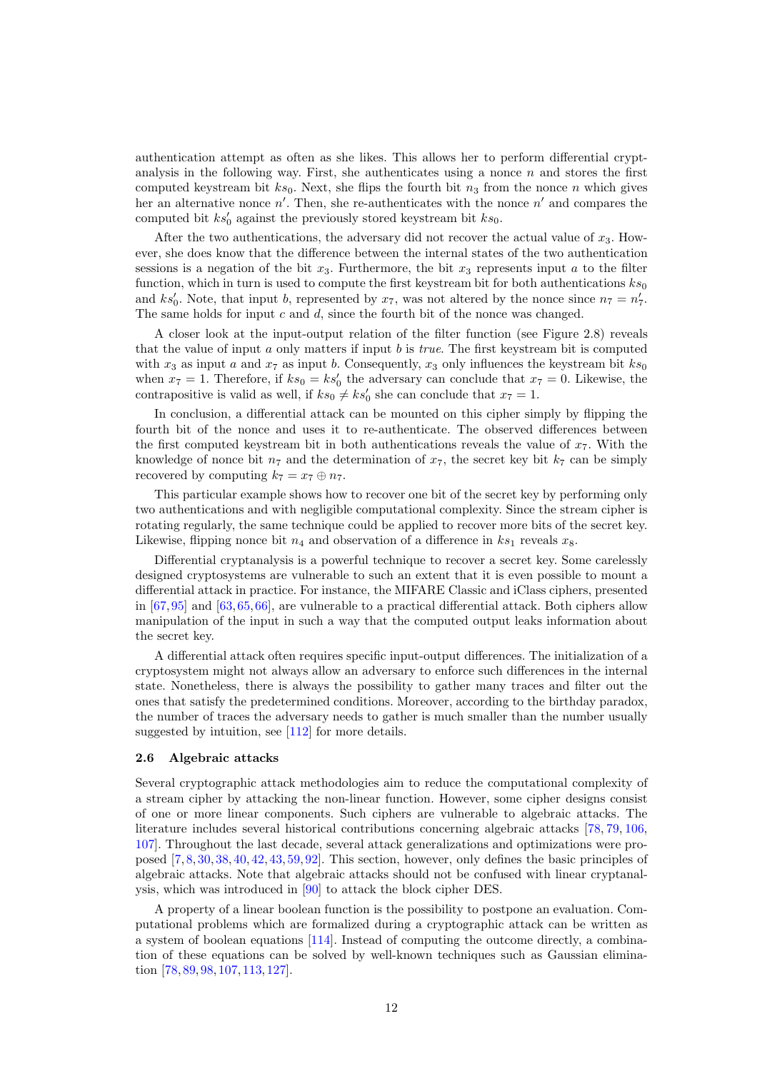authentication attempt as often as she likes. This allows her to perform differential cryptanalysis in the following way. First, she authenticates using a nonce  $n$  and stores the first computed keystream bit  $ks_0$ . Next, she flips the fourth bit  $n_3$  from the nonce n which gives her an alternative nonce  $n'$ . Then, she re-authenticates with the nonce  $n'$  and compares the computed bit  $ks'_0$  against the previously stored keystream bit  $ks_0$ .

After the two authentications, the adversary did not recover the actual value of  $x_3$ . However, she does know that the difference between the internal states of the two authentication sessions is a negation of the bit  $x_3$ . Furthermore, the bit  $x_3$  represents input a to the filter function, which in turn is used to compute the first keystream bit for both authentications  $ks_0$ and ks'<sub>0</sub>. Note, that input b, represented by  $x_7$ , was not altered by the nonce since  $n_7 = n'_7$ . The same holds for input  $c$  and  $d$ , since the fourth bit of the nonce was changed.

A closer look at the input-output relation of the filter function (see Figure [2.8\)](#page-8-2) reveals that the value of input  $a$  only matters if input  $b$  is *true*. The first keystream bit is computed with  $x_3$  as input a and  $x_7$  as input b. Consequently,  $x_3$  only influences the keystream bit  $ks_0$ when  $x_7 = 1$ . Therefore, if  $ks_0 = ks'_0$  the adversary can conclude that  $x_7 = 0$ . Likewise, the contrapositive is valid as well, if  $ks_0 \neq ks'_0$  she can conclude that  $x_7 = 1$ .

In conclusion, a differential attack can be mounted on this cipher simply by flipping the fourth bit of the nonce and uses it to re-authenticate. The observed differences between the first computed keystream bit in both authentications reveals the value of  $x_7$ . With the knowledge of nonce bit  $n_7$  and the determination of  $x_7$ , the secret key bit  $k_7$  can be simply recovered by computing  $k_7 = x_7 \oplus n_7$ .

This particular example shows how to recover one bit of the secret key by performing only two authentications and with negligible computational complexity. Since the stream cipher is rotating regularly, the same technique could be applied to recover more bits of the secret key. Likewise, flipping nonce bit  $n_4$  and observation of a difference in  $ks_1$  reveals  $x_8$ .

Differential cryptanalysis is a powerful technique to recover a secret key. Some carelessly designed cryptosystems are vulnerable to such an extent that it is even possible to mount a differential attack in practice. For instance, the MIFARE Classic and iClass ciphers, presented in [\[67,](#page-18-6)[95\]](#page-20-5) and [\[63,](#page-18-12)[65,](#page-18-13)[66\]](#page-18-14), are vulnerable to a practical differential attack. Both ciphers allow manipulation of the input in such a way that the computed output leaks information about the secret key.

A differential attack often requires specific input-output differences. The initialization of a cryptosystem might not always allow an adversary to enforce such differences in the internal state. Nonetheless, there is always the possibility to gather many traces and filter out the ones that satisfy the predetermined conditions. Moreover, according to the birthday paradox, the number of traces the adversary needs to gather is much smaller than the number usually suggested by intuition, see [\[112\]](#page-20-16) for more details.

### 2.6 Algebraic attacks

Several cryptographic attack methodologies aim to reduce the computational complexity of a stream cipher by attacking the non-linear function. However, some cipher designs consist of one or more linear components. Such ciphers are vulnerable to algebraic attacks. The literature includes several historical contributions concerning algebraic attacks [\[78,](#page-19-15) [79,](#page-19-16) [106,](#page-20-17) [107\]](#page-20-18). Throughout the last decade, several attack generalizations and optimizations were proposed [\[7,](#page-15-15) [8,](#page-15-16) [30,](#page-16-17) [38,](#page-17-13) [40,](#page-17-14) [42,](#page-17-15) [43,](#page-17-16) [59,](#page-18-15) [92\]](#page-20-19). This section, however, only defines the basic principles of algebraic attacks. Note that algebraic attacks should not be confused with linear cryptanalysis, which was introduced in [\[90\]](#page-19-17) to attack the block cipher [DES.](#page-15-13)

A property of a linear boolean function is the possibility to postpone an evaluation. Computational problems which are formalized during a cryptographic attack can be written as a system of boolean equations [\[114\]](#page-20-20). Instead of computing the outcome directly, a combination of these equations can be solved by well-known techniques such as Gaussian elimination [\[78,](#page-19-15) [89,](#page-19-18) [98,](#page-20-21) [107,](#page-20-18) [113,](#page-20-22) [127\]](#page-21-12).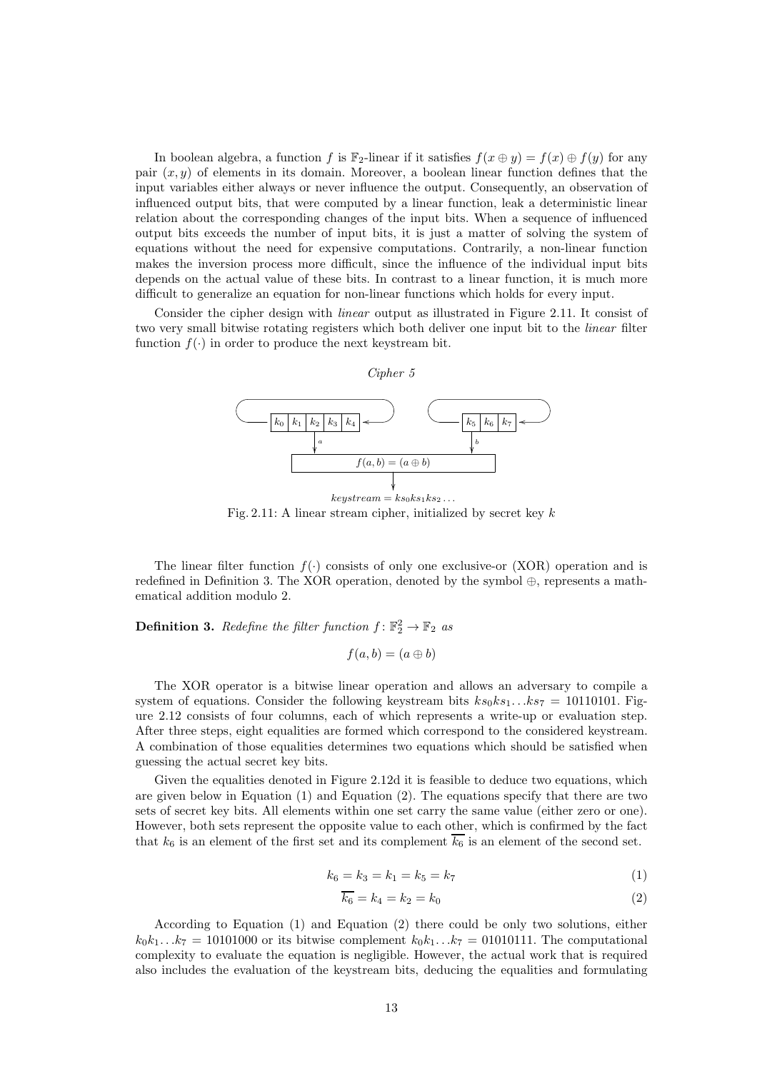In boolean algebra, a function f is  $\mathbb{F}_2$ -linear if it satisfies  $f(x \oplus y) = f(x) \oplus f(y)$  for any pair  $(x, y)$  of elements in its domain. Moreover, a boolean linear function defines that the input variables either always or never influence the output. Consequently, an observation of influenced output bits, that were computed by a linear function, leak a deterministic linear relation about the corresponding changes of the input bits. When a sequence of influenced output bits exceeds the number of input bits, it is just a matter of solving the system of equations without the need for expensive computations. Contrarily, a non-linear function makes the inversion process more difficult, since the influence of the individual input bits depends on the actual value of these bits. In contrast to a linear function, it is much more difficult to generalize an equation for non-linear functions which holds for every input.

<span id="page-12-0"></span>Consider the cipher design with linear output as illustrated in Figure [2.11.](#page-12-0) It consist of two very small bitwise rotating registers which both deliver one input bit to the *linear* filter function  $f(\cdot)$  in order to produce the next keystream bit.

#### Cipher 5



Fig. 2.11: A linear stream cipher, initialized by secret key  $k$ 

The linear filter function  $f(.)$  consists of only one exclusive-or [\(XOR\)](#page-15-2) operation and is redefined in Definition [3.](#page-12-1) The [XOR](#page-15-2) operation, denoted by the symbol  $\oplus$ , represents a mathematical addition modulo 2.

<span id="page-12-1"></span>**Definition 3.** Redefine the filter function  $f: \mathbb{F}_2^2 \to \mathbb{F}_2$  as

$$
f(a,b) = (a \oplus b)
$$

The [XOR](#page-15-2) operator is a bitwise linear operation and allows an adversary to compile a system of equations. Consider the following keystream bits  $ks_0ks_1...ks_7 = 10110101$ . Figure [2.12](#page-13-0) consists of four columns, each of which represents a write-up or evaluation step. After three steps, eight equalities are formed which correspond to the considered keystream. A combination of those equalities determines two equations which should be satisfied when guessing the actual secret key bits.

Given the equalities denoted in Figure [2.12d](#page-13-0) it is feasible to deduce two equations, which are given below in Equation  $(1)$  and Equation  $(2)$ . The equations specify that there are two sets of secret key bits. All elements within one set carry the same value (either zero or one). However, both sets represent the opposite value to each other, which is confirmed by the fact that  $k_6$  is an element of the first set and its complement  $\overline{k_6}$  is an element of the second set.

<span id="page-12-2"></span>
$$
k_6 = k_3 = k_1 = k_5 = k_7 \tag{1}
$$

<span id="page-12-3"></span>
$$
\overline{k_6} = k_4 = k_2 = k_0 \tag{2}
$$

According to Equation [\(1\)](#page-12-2) and Equation [\(2\)](#page-12-3) there could be only two solutions, either  $k_0k_1...k_7 = 10101000$  or its bitwise complement  $k_0k_1...k_7 = 01010111$ . The computational complexity to evaluate the equation is negligible. However, the actual work that is required also includes the evaluation of the keystream bits, deducing the equalities and formulating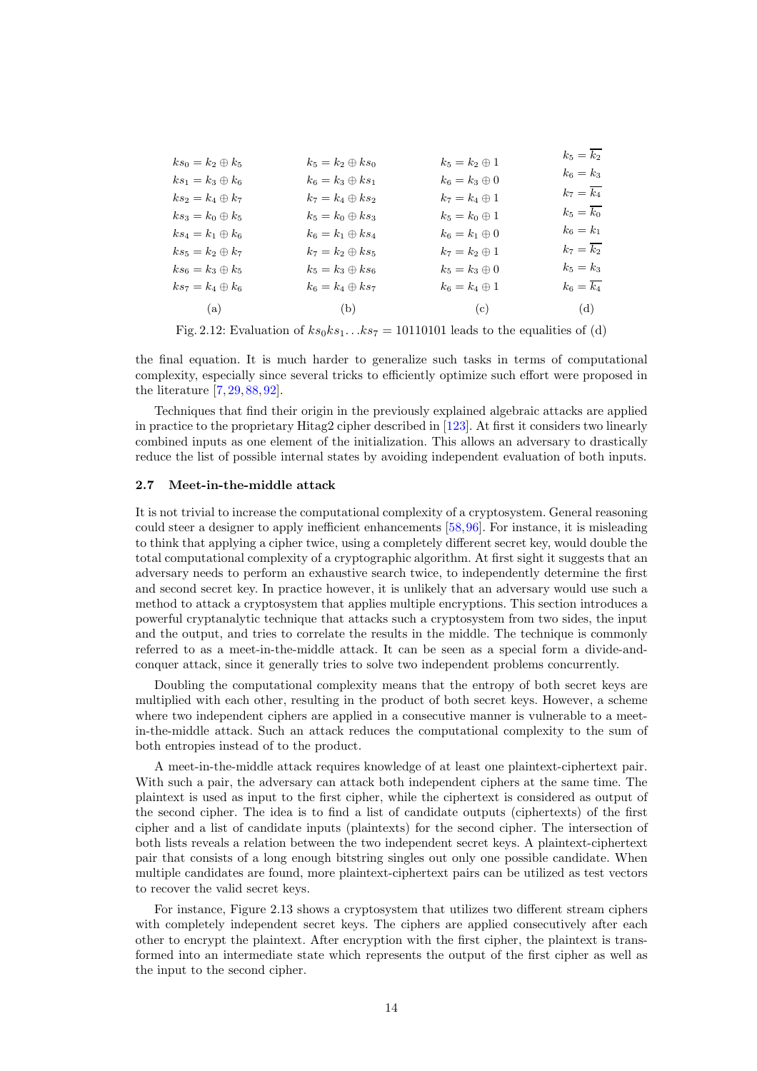<span id="page-13-0"></span>

| $ks_0 = k_2 \oplus k_5$<br>$k_5 = k_2 \oplus ks_0$ | $k_5=k_2\oplus 1$    | $k_5 = k_2$          |
|----------------------------------------------------|----------------------|----------------------|
|                                                    |                      | $k_6 = k_3$          |
| $ks_1 = k_3 \oplus k_6$<br>$k_6 = k_3 \oplus ks_1$ | $k_6=k_3\oplus 0$    |                      |
| $ks_2 = k_4 \oplus k_7$<br>$k_7 = k_4 \oplus ks_2$ | $k_7 = k_4 \oplus 1$ | $k_7=\overline{k_4}$ |
| $ks_3 = k_0 \oplus k_5$<br>$k_5 = k_0 \oplus ks_3$ | $k_5 = k_0 \oplus 1$ | $k_5=\overline{k_0}$ |
| $ks_4 = k_1 \oplus k_6$<br>$k_6 = k_1 \oplus ks_4$ | $k_6 = k_1 \oplus 0$ | $k_6 = k_1$          |
| $k_7 = k_2 \oplus ks_5$<br>$ks_5=k_2\oplus k_7$    | $k_7 = k_2 \oplus 1$ | $k_7=\overline{k_2}$ |
| $ks_6 = k_3 \oplus k_5$<br>$k_5 = k_3 \oplus ks_6$ | $k_5 = k_3 \oplus 0$ | $k_5 = k_3$          |
| $ks_7 = k_4 \oplus k_6$<br>$k_6 = k_4 \oplus ks_7$ | $k_6=k_4\oplus 1$    | $k_6=\overline{k_4}$ |
| (b)<br>(a)                                         | (c)                  | (d)                  |

Fig. 2.12: Evaluation of  $ks_0ks_1...ks_7 = 10110101$  leads to the equalities of [\(d\)](#page-13-0)

the final equation. It is much harder to generalize such tasks in terms of computational complexity, especially since several tricks to efficiently optimize such effort were proposed in the literature [\[7,](#page-15-15) [29,](#page-16-18) [88,](#page-19-19) [92\]](#page-20-19).

Techniques that find their origin in the previously explained algebraic attacks are applied in practice to the proprietary Hitag2 cipher described in [\[123\]](#page-21-9). At first it considers two linearly combined inputs as one element of the initialization. This allows an adversary to drastically reduce the list of possible internal states by avoiding independent evaluation of both inputs.

#### 2.7 Meet-in-the-middle attack

It is not trivial to increase the computational complexity of a cryptosystem. General reasoning could steer a designer to apply inefficient enhancements [\[58,](#page-18-16)[96\]](#page-20-23). For instance, it is misleading to think that applying a cipher twice, using a completely different secret key, would double the total computational complexity of a cryptographic algorithm. At first sight it suggests that an adversary needs to perform an exhaustive search twice, to independently determine the first and second secret key. In practice however, it is unlikely that an adversary would use such a method to attack a cryptosystem that applies multiple encryptions. This section introduces a powerful cryptanalytic technique that attacks such a cryptosystem from two sides, the input and the output, and tries to correlate the results in the middle. The technique is commonly referred to as a meet-in-the-middle attack. It can be seen as a special form a divide-andconquer attack, since it generally tries to solve two independent problems concurrently.

Doubling the computational complexity means that the entropy of both secret keys are multiplied with each other, resulting in the product of both secret keys. However, a scheme where two independent ciphers are applied in a consecutive manner is vulnerable to a meetin-the-middle attack. Such an attack reduces the computational complexity to the sum of both entropies instead of to the product.

A meet-in-the-middle attack requires knowledge of at least one plaintext-ciphertext pair. With such a pair, the adversary can attack both independent ciphers at the same time. The plaintext is used as input to the first cipher, while the ciphertext is considered as output of the second cipher. The idea is to find a list of candidate outputs (ciphertexts) of the first cipher and a list of candidate inputs (plaintexts) for the second cipher. The intersection of both lists reveals a relation between the two independent secret keys. A plaintext-ciphertext pair that consists of a long enough bitstring singles out only one possible candidate. When multiple candidates are found, more plaintext-ciphertext pairs can be utilized as test vectors to recover the valid secret keys.

For instance, Figure [2.13](#page-14-0) shows a cryptosystem that utilizes two different stream ciphers with completely independent secret keys. The ciphers are applied consecutively after each other to encrypt the plaintext. After encryption with the first cipher, the plaintext is transformed into an intermediate state which represents the output of the first cipher as well as the input to the second cipher.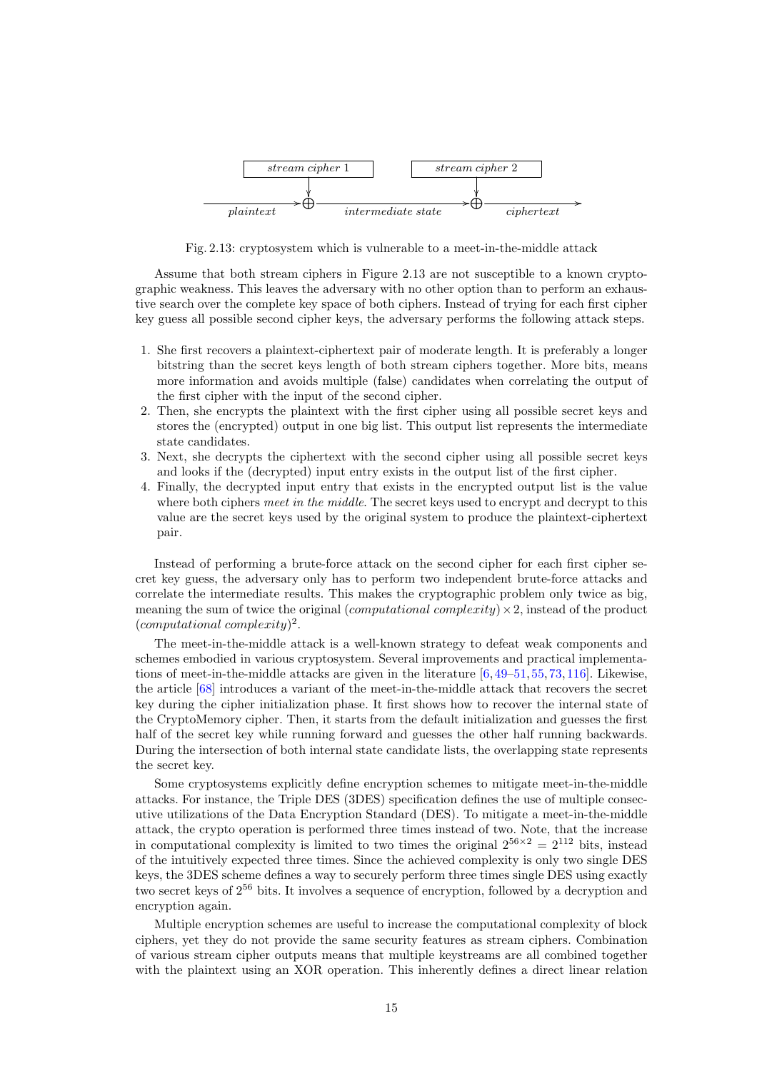<span id="page-14-0"></span>

Fig. 2.13: cryptosystem which is vulnerable to a meet-in-the-middle attack

Assume that both stream ciphers in Figure [2.13](#page-14-0) are not susceptible to a known cryptographic weakness. This leaves the adversary with no other option than to perform an exhaustive search over the complete key space of both ciphers. Instead of trying for each first cipher key guess all possible second cipher keys, the adversary performs the following attack steps.

- 1. She first recovers a plaintext-ciphertext pair of moderate length. It is preferably a longer bitstring than the secret keys length of both stream ciphers together. More bits, means more information and avoids multiple (false) candidates when correlating the output of the first cipher with the input of the second cipher.
- 2. Then, she encrypts the plaintext with the first cipher using all possible secret keys and stores the (encrypted) output in one big list. This output list represents the intermediate state candidates.
- 3. Next, she decrypts the ciphertext with the second cipher using all possible secret keys and looks if the (decrypted) input entry exists in the output list of the first cipher.
- 4. Finally, the decrypted input entry that exists in the encrypted output list is the value where both ciphers meet in the middle. The secret keys used to encrypt and decrypt to this value are the secret keys used by the original system to produce the plaintext-ciphertext pair.

Instead of performing a brute-force attack on the second cipher for each first cipher secret key guess, the adversary only has to perform two independent brute-force attacks and correlate the intermediate results. This makes the cryptographic problem only twice as big, meaning the sum of twice the original (*computational complexity*)  $\times$ 2, instead of the product (computational complexity) 2 .

The meet-in-the-middle attack is a well-known strategy to defeat weak components and schemes embodied in various cryptosystem. Several improvements and practical implementations of meet-in-the-middle attacks are given in the literature  $[6,49-51,55,73,116]$  $[6,49-51,55,73,116]$  $[6,49-51,55,73,116]$  $[6,49-51,55,73,116]$  $[6,49-51,55,73,116]$ . Likewise, the article [\[68\]](#page-18-8) introduces a variant of the meet-in-the-middle attack that recovers the secret key during the cipher initialization phase. It first shows how to recover the internal state of the CryptoMemory cipher. Then, it starts from the default initialization and guesses the first half of the secret key while running forward and guesses the other half running backwards. During the intersection of both internal state candidate lists, the overlapping state represents the secret key.

<span id="page-14-1"></span>Some cryptosystems explicitly define encryption schemes to mitigate meet-in-the-middle attacks. For instance, the Triple DES [\(3DES\)](#page-15-18) specification defines the use of multiple consecutive utilizations of the Data Encryption Standard [\(DES\)](#page-15-13). To mitigate a meet-in-the-middle attack, the crypto operation is performed three times instead of two. Note, that the increase in computational complexity is limited to two times the original  $2^{56\times2} = 2^{112}$  bits, instead of the intuitively expected three times. Since the achieved complexity is only two single [DES](#page-15-13) keys, the [3DES](#page-15-18) scheme defines a way to securely perform three times single [DES](#page-15-13) using exactly two secret keys of 2<sup>56</sup> bits. It involves a sequence of encryption, followed by a decryption and encryption again.

Multiple encryption schemes are useful to increase the computational complexity of block ciphers, yet they do not provide the same security features as stream ciphers. Combination of various stream cipher outputs means that multiple keystreams are all combined together with the plaintext using an [XOR](#page-15-2) operation. This inherently defines a direct linear relation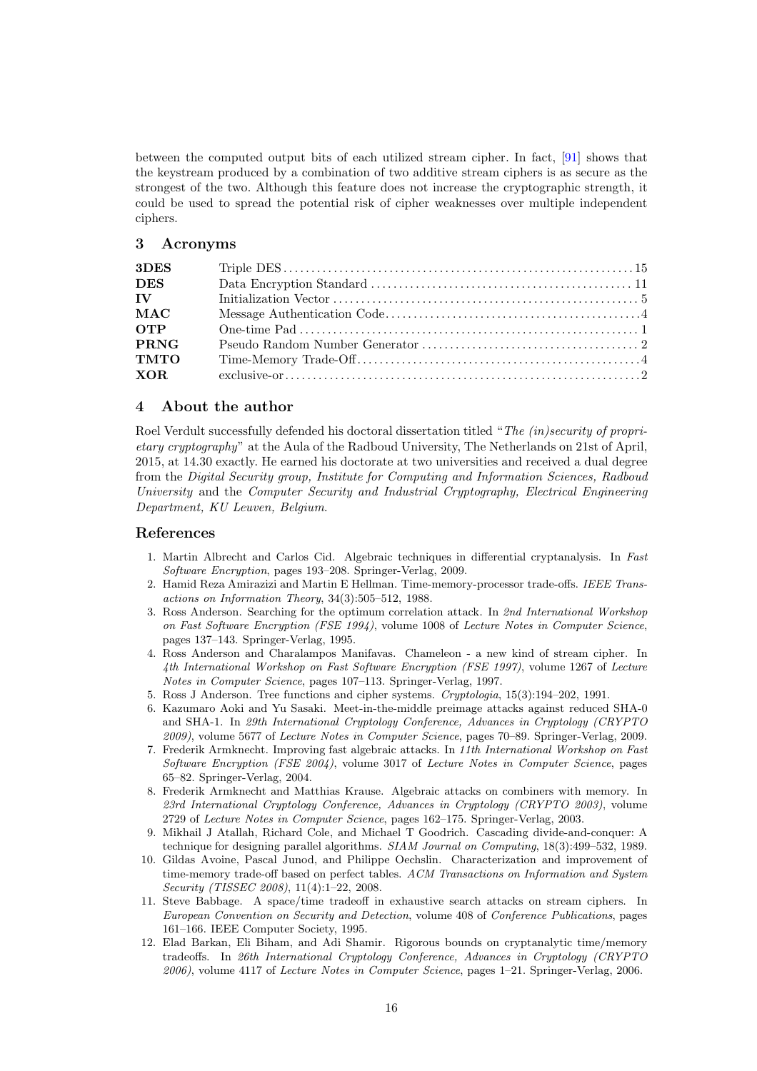between the computed output bits of each utilized stream cipher. In fact, [\[91\]](#page-19-21) shows that the keystream produced by a combination of two additive stream ciphers is as secure as the strongest of the two. Although this feature does not increase the cryptographic strength, it could be used to spread the potential risk of cipher weaknesses over multiple independent ciphers.

# 3 Acronyms

<span id="page-15-18"></span><span id="page-15-13"></span><span id="page-15-9"></span><span id="page-15-8"></span>

| 3DES                                                                                                                                                                                                                           |  |
|--------------------------------------------------------------------------------------------------------------------------------------------------------------------------------------------------------------------------------|--|
| <b>DES</b>                                                                                                                                                                                                                     |  |
| IV and the set of the set of the set of the set of the set of the set of the set of the set of the set of the set of the set of the set of the set of the set of the set of the set of the set of the set of the set of the se |  |
| <b>MAC</b>                                                                                                                                                                                                                     |  |
| <b>OTP</b>                                                                                                                                                                                                                     |  |
| <b>PRNG</b>                                                                                                                                                                                                                    |  |
| <b>TMTO</b>                                                                                                                                                                                                                    |  |
|                                                                                                                                                                                                                                |  |
|                                                                                                                                                                                                                                |  |

### <span id="page-15-4"></span><span id="page-15-2"></span><span id="page-15-1"></span><span id="page-15-0"></span>4 About the author

Roel Verdult successfully defended his doctoral dissertation titled "The (in)security of proprietary cryptography" at the Aula of the Radboud University, The Netherlands on 21st of April, 2015, at 14.30 exactly. He earned his doctorate at two universities and received a dual degree from the Digital Security group, Institute for Computing and Information Sciences, Radboud University and the Computer Security and Industrial Cryptography, Electrical Engineering Department, KU Leuven, Belgium.

### References

- <span id="page-15-14"></span>1. Martin Albrecht and Carlos Cid. Algebraic techniques in differential cryptanalysis. In Fast Software Encryption, pages 193–208. Springer-Verlag, 2009.
- <span id="page-15-5"></span>2. Hamid Reza Amirazizi and Martin E Hellman. Time-memory-processor trade-offs. IEEE Transactions on Information Theory, 34(3):505–512, 1988.
- <span id="page-15-11"></span>3. Ross Anderson. Searching for the optimum correlation attack. In 2nd International Workshop on Fast Software Encryption (FSE 1994), volume 1008 of Lecture Notes in Computer Science, pages 137–143. Springer-Verlag, 1995.
- <span id="page-15-3"></span>4. Ross Anderson and Charalampos Manifavas. Chameleon - a new kind of stream cipher. In 4th International Workshop on Fast Software Encryption (FSE 1997), volume 1267 of Lecture Notes in Computer Science, pages 107–113. Springer-Verlag, 1997.
- <span id="page-15-17"></span><span id="page-15-12"></span>5. Ross J Anderson. Tree functions and cipher systems. Cryptologia, 15(3):194–202, 1991.
- 6. Kazumaro Aoki and Yu Sasaki. Meet-in-the-middle preimage attacks against reduced SHA-0 and SHA-1. In 29th International Cryptology Conference, Advances in Cryptology (CRYPTO 2009), volume 5677 of Lecture Notes in Computer Science, pages 70–89. Springer-Verlag, 2009.
- <span id="page-15-15"></span>7. Frederik Armknecht. Improving fast algebraic attacks. In 11th International Workshop on Fast Software Encryption (FSE 2004), volume 3017 of Lecture Notes in Computer Science, pages 65–82. Springer-Verlag, 2004.
- <span id="page-15-16"></span>8. Frederik Armknecht and Matthias Krause. Algebraic attacks on combiners with memory. In 23rd International Cryptology Conference, Advances in Cryptology (CRYPTO 2003), volume 2729 of Lecture Notes in Computer Science, pages 162–175. Springer-Verlag, 2003.
- <span id="page-15-10"></span>9. Mikhail J Atallah, Richard Cole, and Michael T Goodrich. Cascading divide-and-conquer: A technique for designing parallel algorithms. SIAM Journal on Computing, 18(3):499–532, 1989.
- <span id="page-15-6"></span>10. Gildas Avoine, Pascal Junod, and Philippe Oechslin. Characterization and improvement of time-memory trade-off based on perfect tables. ACM Transactions on Information and System Security (TISSEC 2008), 11(4):1–22, 2008.
- 11. Steve Babbage. A space/time tradeoff in exhaustive search attacks on stream ciphers. In European Convention on Security and Detection, volume 408 of Conference Publications, pages 161–166. IEEE Computer Society, 1995.
- <span id="page-15-7"></span>12. Elad Barkan, Eli Biham, and Adi Shamir. Rigorous bounds on cryptanalytic time/memory tradeoffs. In 26th International Cryptology Conference, Advances in Cryptology (CRYPTO 2006), volume 4117 of Lecture Notes in Computer Science, pages 1–21. Springer-Verlag, 2006.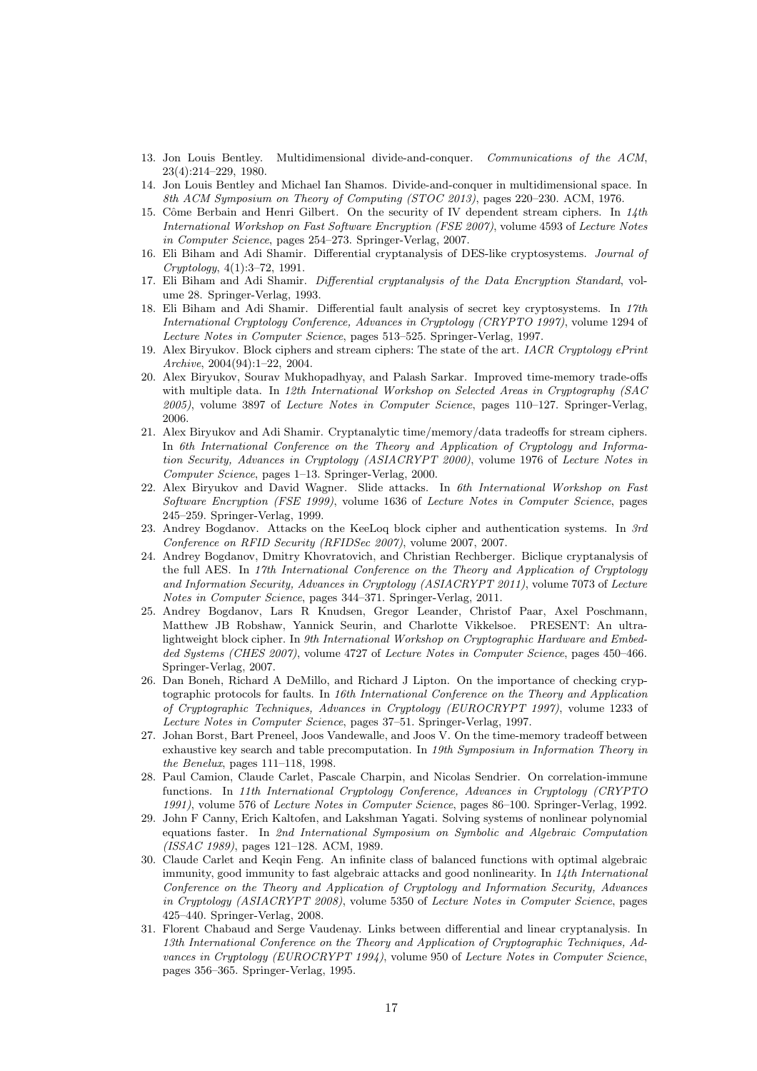- <span id="page-16-11"></span><span id="page-16-10"></span>13. Jon Louis Bentley. Multidimensional divide-and-conquer. Communications of the ACM, 23(4):214–229, 1980.
- 14. Jon Louis Bentley and Michael Ian Shamos. Divide-and-conquer in multidimensional space. In 8th ACM Symposium on Theory of Computing (STOC 2013), pages 220–230. ACM, 1976.
- <span id="page-16-9"></span>15. Côme Berbain and Henri Gilbert. On the security of IV dependent stream ciphers. In  $14$ th International Workshop on Fast Software Encryption (FSE 2007), volume 4593 of Lecture Notes in Computer Science, pages 254–273. Springer-Verlag, 2007.
- <span id="page-16-14"></span>16. Eli Biham and Adi Shamir. Differential cryptanalysis of DES-like cryptosystems. Journal of Cryptology, 4(1):3–72, 1991.
- <span id="page-16-15"></span><span id="page-16-2"></span>17. Eli Biham and Adi Shamir. Differential cryptanalysis of the Data Encryption Standard, volume 28. Springer-Verlag, 1993.
- 18. Eli Biham and Adi Shamir. Differential fault analysis of secret key cryptosystems. In 17th International Cryptology Conference, Advances in Cryptology (CRYPTO 1997), volume 1294 of Lecture Notes in Computer Science, pages 513–525. Springer-Verlag, 1997.
- <span id="page-16-0"></span>19. Alex Biryukov. Block ciphers and stream ciphers: The state of the art. IACR Cryptology ePrint Archive, 2004(94):1–22, 2004.
- <span id="page-16-6"></span>20. Alex Biryukov, Sourav Mukhopadhyay, and Palash Sarkar. Improved time-memory trade-offs with multiple data. In 12th International Workshop on Selected Areas in Cryptography (SAC 2005), volume 3897 of Lecture Notes in Computer Science, pages 110–127. Springer-Verlag, 2006.
- <span id="page-16-7"></span>21. Alex Biryukov and Adi Shamir. Cryptanalytic time/memory/data tradeoffs for stream ciphers. In 6th International Conference on the Theory and Application of Cryptology and Information Security, Advances in Cryptology (ASIACRYPT 2000), volume 1976 of Lecture Notes in Computer Science, pages 1–13. Springer-Verlag, 2000.
- <span id="page-16-3"></span>22. Alex Biryukov and David Wagner. Slide attacks. In 6th International Workshop on Fast Software Encryption (FSE 1999), volume 1636 of Lecture Notes in Computer Science, pages 245–259. Springer-Verlag, 1999.
- <span id="page-16-13"></span>23. Andrey Bogdanov. Attacks on the KeeLoq block cipher and authentication systems. In 3rd Conference on RFID Security (RFIDSec 2007), volume 2007, 2007.
- <span id="page-16-4"></span>24. Andrey Bogdanov, Dmitry Khovratovich, and Christian Rechberger. Biclique cryptanalysis of the full AES. In 17th International Conference on the Theory and Application of Cryptology and Information Security, Advances in Cryptology (ASIACRYPT 2011), volume 7073 of Lecture Notes in Computer Science, pages 344–371. Springer-Verlag, 2011.
- <span id="page-16-1"></span>25. Andrey Bogdanov, Lars R Knudsen, Gregor Leander, Christof Paar, Axel Poschmann, Matthew JB Robshaw, Yannick Seurin, and Charlotte Vikkelsoe. PRESENT: An ultralightweight block cipher. In 9th International Workshop on Cryptographic Hardware and Embedded Systems (CHES 2007), volume 4727 of Lecture Notes in Computer Science, pages 450–466. Springer-Verlag, 2007.
- <span id="page-16-5"></span>26. Dan Boneh, Richard A DeMillo, and Richard J Lipton. On the importance of checking cryptographic protocols for faults. In 16th International Conference on the Theory and Application of Cryptographic Techniques, Advances in Cryptology (EUROCRYPT 1997), volume 1233 of Lecture Notes in Computer Science, pages 37–51. Springer-Verlag, 1997.
- <span id="page-16-8"></span>27. Johan Borst, Bart Preneel, Joos Vandewalle, and Joos V. On the time-memory tradeoff between exhaustive key search and table precomputation. In 19th Symposium in Information Theory in the Benelux, pages 111–118, 1998.
- <span id="page-16-12"></span>28. Paul Camion, Claude Carlet, Pascale Charpin, and Nicolas Sendrier. On correlation-immune functions. In 11th International Cryptology Conference, Advances in Cryptology (CRYPTO 1991), volume 576 of Lecture Notes in Computer Science, pages 86–100. Springer-Verlag, 1992.
- <span id="page-16-18"></span>29. John F Canny, Erich Kaltofen, and Lakshman Yagati. Solving systems of nonlinear polynomial equations faster. In 2nd International Symposium on Symbolic and Algebraic Computation (ISSAC 1989), pages 121–128. ACM, 1989.
- <span id="page-16-17"></span>30. Claude Carlet and Keqin Feng. An infinite class of balanced functions with optimal algebraic immunity, good immunity to fast algebraic attacks and good nonlinearity. In 14th International Conference on the Theory and Application of Cryptology and Information Security, Advances in Cryptology (ASIACRYPT 2008), volume 5350 of Lecture Notes in Computer Science, pages 425–440. Springer-Verlag, 2008.
- <span id="page-16-16"></span>31. Florent Chabaud and Serge Vaudenay. Links between differential and linear cryptanalysis. In 13th International Conference on the Theory and Application of Cryptographic Techniques, Advances in Cryptology (EUROCRYPT 1994), volume 950 of Lecture Notes in Computer Science, pages 356–365. Springer-Verlag, 1995.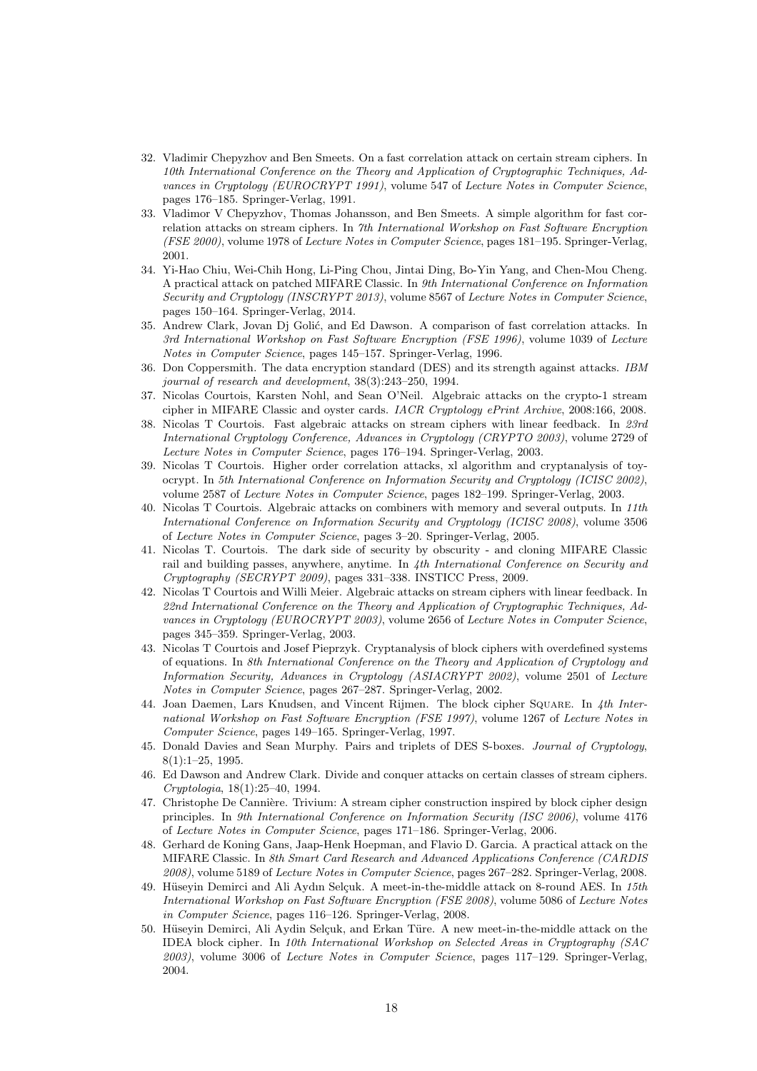- <span id="page-17-8"></span>32. Vladimir Chepyzhov and Ben Smeets. On a fast correlation attack on certain stream ciphers. In 10th International Conference on the Theory and Application of Cryptographic Techniques, Advances in Cryptology (EUROCRYPT 1991), volume 547 of Lecture Notes in Computer Science, pages 176–185. Springer-Verlag, 1991.
- <span id="page-17-9"></span>33. Vladimor V Chepyzhov, Thomas Johansson, and Ben Smeets. A simple algorithm for fast correlation attacks on stream ciphers. In 7th International Workshop on Fast Software Encryption (FSE 2000), volume 1978 of Lecture Notes in Computer Science, pages 181–195. Springer-Verlag, 2001.
- <span id="page-17-4"></span>34. Yi-Hao Chiu, Wei-Chih Hong, Li-Ping Chou, Jintai Ding, Bo-Yin Yang, and Chen-Mou Cheng. A practical attack on patched MIFARE Classic. In 9th International Conference on Information Security and Cryptology (INSCRYPT 2013), volume 8567 of Lecture Notes in Computer Science, pages 150–164. Springer-Verlag, 2014.
- <span id="page-17-10"></span>35. Andrew Clark, Jovan Dj Golić, and Ed Dawson. A comparison of fast correlation attacks. In 3rd International Workshop on Fast Software Encryption (FSE 1996), volume 1039 of Lecture Notes in Computer Science, pages 145–157. Springer-Verlag, 1996.
- <span id="page-17-12"></span>36. Don Coppersmith. The data encryption standard (DES) and its strength against attacks. IBM journal of research and development, 38(3):243–250, 1994.
- <span id="page-17-5"></span>37. Nicolas Courtois, Karsten Nohl, and Sean O'Neil. Algebraic attacks on the crypto-1 stream cipher in MIFARE Classic and oyster cards. IACR Cryptology ePrint Archive, 2008:166, 2008.
- <span id="page-17-13"></span>38. Nicolas T Courtois. Fast algebraic attacks on stream ciphers with linear feedback. In 23rd International Cryptology Conference, Advances in Cryptology (CRYPTO 2003), volume 2729 of Lecture Notes in Computer Science, pages 176–194. Springer-Verlag, 2003.
- <span id="page-17-11"></span>39. Nicolas T Courtois. Higher order correlation attacks, xl algorithm and cryptanalysis of toyocrypt. In 5th International Conference on Information Security and Cryptology (ICISC 2002), volume 2587 of Lecture Notes in Computer Science, pages 182–199. Springer-Verlag, 2003.
- <span id="page-17-14"></span>40. Nicolas T Courtois. Algebraic attacks on combiners with memory and several outputs. In 11th International Conference on Information Security and Cryptology (ICISC 2008), volume 3506 of Lecture Notes in Computer Science, pages 3–20. Springer-Verlag, 2005.
- <span id="page-17-6"></span>41. Nicolas T. Courtois. The dark side of security by obscurity - and cloning MIFARE Classic rail and building passes, anywhere, anytime. In 4th International Conference on Security and Cryptography (SECRYPT 2009), pages 331–338. INSTICC Press, 2009.
- <span id="page-17-15"></span>42. Nicolas T Courtois and Willi Meier. Algebraic attacks on stream ciphers with linear feedback. In 22nd International Conference on the Theory and Application of Cryptographic Techniques, Advances in Cryptology (EUROCRYPT 2003), volume 2656 of Lecture Notes in Computer Science, pages 345–359. Springer-Verlag, 2003.
- <span id="page-17-16"></span>43. Nicolas T Courtois and Josef Pieprzyk. Cryptanalysis of block ciphers with overdefined systems of equations. In 8th International Conference on the Theory and Application of Cryptology and Information Security, Advances in Cryptology (ASIACRYPT 2002), volume 2501 of Lecture Notes in Computer Science, pages 267–287. Springer-Verlag, 2002.
- <span id="page-17-1"></span>44. Joan Daemen, Lars Knudsen, and Vincent Rijmen. The block cipher SOUARE. In 4th International Workshop on Fast Software Encryption (FSE 1997), volume 1267 of Lecture Notes in Computer Science, pages 149–165. Springer-Verlag, 1997.
- <span id="page-17-2"></span>45. Donald Davies and Sean Murphy. Pairs and triplets of DES S-boxes. Journal of Cryptology, 8(1):1–25, 1995.
- <span id="page-17-7"></span>46. Ed Dawson and Andrew Clark. Divide and conquer attacks on certain classes of stream ciphers. Cryptologia, 18(1):25–40, 1994.
- <span id="page-17-0"></span>47. Christophe De Cannière. Trivium: A stream cipher construction inspired by block cipher design principles. In 9th International Conference on Information Security (ISC 2006), volume 4176 of Lecture Notes in Computer Science, pages 171–186. Springer-Verlag, 2006.
- <span id="page-17-3"></span>48. Gerhard de Koning Gans, Jaap-Henk Hoepman, and Flavio D. Garcia. A practical attack on the MIFARE Classic. In 8th Smart Card Research and Advanced Applications Conference (CARDIS 2008), volume 5189 of Lecture Notes in Computer Science, pages 267–282. Springer-Verlag, 2008.
- <span id="page-17-17"></span>49. Hüseyin Demirci and Ali Aydın Selçuk. A meet-in-the-middle attack on 8-round AES. In 15th International Workshop on Fast Software Encryption (FSE 2008), volume 5086 of Lecture Notes in Computer Science, pages 116–126. Springer-Verlag, 2008.
- 50. Hüseyin Demirci, Ali Aydin Selçuk, and Erkan Türe. A new meet-in-the-middle attack on the IDEA block cipher. In 10th International Workshop on Selected Areas in Cryptography (SAC  $2003$ , volume 3006 of *Lecture Notes in Computer Science*, pages 117–129. Springer-Verlag, 2004.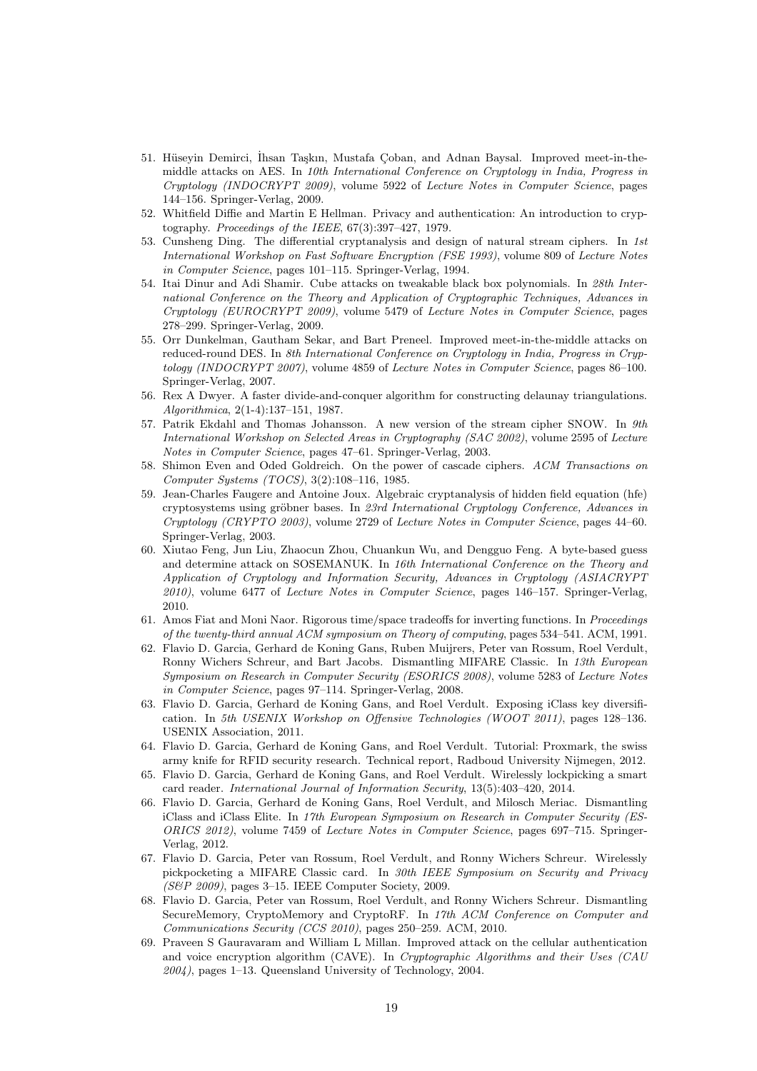- <span id="page-18-17"></span>51. Hüseyin Demirci, İhsan Taşkın, Mustafa Çoban, and Adnan Baysal. Improved meet-in-themiddle attacks on AES. In 10th International Conference on Cryptology in India, Progress in Cryptology (INDOCRYPT 2009), volume 5922 of Lecture Notes in Computer Science, pages 144–156. Springer-Verlag, 2009.
- <span id="page-18-0"></span>52. Whitfield Diffie and Martin E Hellman. Privacy and authentication: An introduction to cryptography. Proceedings of the IEEE, 67(3):397–427, 1979.
- <span id="page-18-11"></span>53. Cunsheng Ding. The differential cryptanalysis and design of natural stream ciphers. In 1st International Workshop on Fast Software Encryption (FSE 1993), volume 809 of Lecture Notes in Computer Science, pages 101–115. Springer-Verlag, 1994.
- <span id="page-18-2"></span>54. Itai Dinur and Adi Shamir. Cube attacks on tweakable black box polynomials. In 28th International Conference on the Theory and Application of Cryptographic Techniques, Advances in Cryptology (EUROCRYPT 2009), volume 5479 of Lecture Notes in Computer Science, pages 278–299. Springer-Verlag, 2009.
- <span id="page-18-18"></span>55. Orr Dunkelman, Gautham Sekar, and Bart Preneel. Improved meet-in-the-middle attacks on reduced-round DES. In 8th International Conference on Cryptology in India, Progress in Cryptology (INDOCRYPT 2007), volume 4859 of Lecture Notes in Computer Science, pages 86–100. Springer-Verlag, 2007.
- <span id="page-18-7"></span>56. Rex A Dwyer. A faster divide-and-conquer algorithm for constructing delaunay triangulations. Algorithmica, 2(1-4):137–151, 1987.
- <span id="page-18-1"></span>57. Patrik Ekdahl and Thomas Johansson. A new version of the stream cipher SNOW. In 9th International Workshop on Selected Areas in Cryptography (SAC 2002), volume 2595 of Lecture Notes in Computer Science, pages 47–61. Springer-Verlag, 2003.
- <span id="page-18-16"></span>58. Shimon Even and Oded Goldreich. On the power of cascade ciphers. ACM Transactions on Computer Systems (TOCS), 3(2):108–116, 1985.
- <span id="page-18-15"></span>59. Jean-Charles Faugere and Antoine Joux. Algebraic cryptanalysis of hidden field equation (hfe) cryptosystems using gröbner bases. In 23rd International Cryptology Conference, Advances in Cryptology (CRYPTO 2003), volume 2729 of Lecture Notes in Computer Science, pages 44–60. Springer-Verlag, 2003.
- <span id="page-18-9"></span>60. Xiutao Feng, Jun Liu, Zhaocun Zhou, Chuankun Wu, and Dengguo Feng. A byte-based guess and determine attack on SOSEMANUK. In 16th International Conference on the Theory and Application of Cryptology and Information Security, Advances in Cryptology (ASIACRYPT 2010), volume 6477 of Lecture Notes in Computer Science, pages 146–157. Springer-Verlag, 2010.
- <span id="page-18-3"></span>61. Amos Fiat and Moni Naor. Rigorous time/space tradeoffs for inverting functions. In Proceedings of the twenty-third annual ACM symposium on Theory of computing, pages 534–541. ACM, 1991.
- <span id="page-18-4"></span>62. Flavio D. Garcia, Gerhard de Koning Gans, Ruben Muijrers, Peter van Rossum, Roel Verdult, Ronny Wichers Schreur, and Bart Jacobs. Dismantling MIFARE Classic. In 13th European Symposium on Research in Computer Security (ESORICS 2008), volume 5283 of Lecture Notes in Computer Science, pages 97–114. Springer-Verlag, 2008.
- <span id="page-18-12"></span>63. Flavio D. Garcia, Gerhard de Koning Gans, and Roel Verdult. Exposing iClass key diversification. In 5th USENIX Workshop on Offensive Technologies (WOOT 2011), pages 128–136. USENIX Association, 2011.
- <span id="page-18-5"></span>64. Flavio D. Garcia, Gerhard de Koning Gans, and Roel Verdult. Tutorial: Proxmark, the swiss army knife for RFID security research. Technical report, Radboud University Nijmegen, 2012.
- <span id="page-18-13"></span>65. Flavio D. Garcia, Gerhard de Koning Gans, and Roel Verdult. Wirelessly lockpicking a smart card reader. International Journal of Information Security, 13(5):403–420, 2014.
- <span id="page-18-14"></span>66. Flavio D. Garcia, Gerhard de Koning Gans, Roel Verdult, and Milosch Meriac. Dismantling iClass and iClass Elite. In 17th European Symposium on Research in Computer Security (ES-ORICS 2012), volume 7459 of Lecture Notes in Computer Science, pages 697–715. Springer-Verlag, 2012.
- <span id="page-18-6"></span>67. Flavio D. Garcia, Peter van Rossum, Roel Verdult, and Ronny Wichers Schreur. Wirelessly pickpocketing a MIFARE Classic card. In 30th IEEE Symposium on Security and Privacy (S&P 2009), pages 3–15. IEEE Computer Society, 2009.
- <span id="page-18-8"></span>68. Flavio D. Garcia, Peter van Rossum, Roel Verdult, and Ronny Wichers Schreur. Dismantling SecureMemory, CryptoMemory and CryptoRF. In 17th ACM Conference on Computer and Communications Security (CCS 2010), pages 250–259. ACM, 2010.
- <span id="page-18-10"></span>69. Praveen S Gauravaram and William L Millan. Improved attack on the cellular authentication and voice encryption algorithm (CAVE). In Cryptographic Algorithms and their Uses (CAU  $2004$ , pages 1–13. Queensland University of Technology, 2004.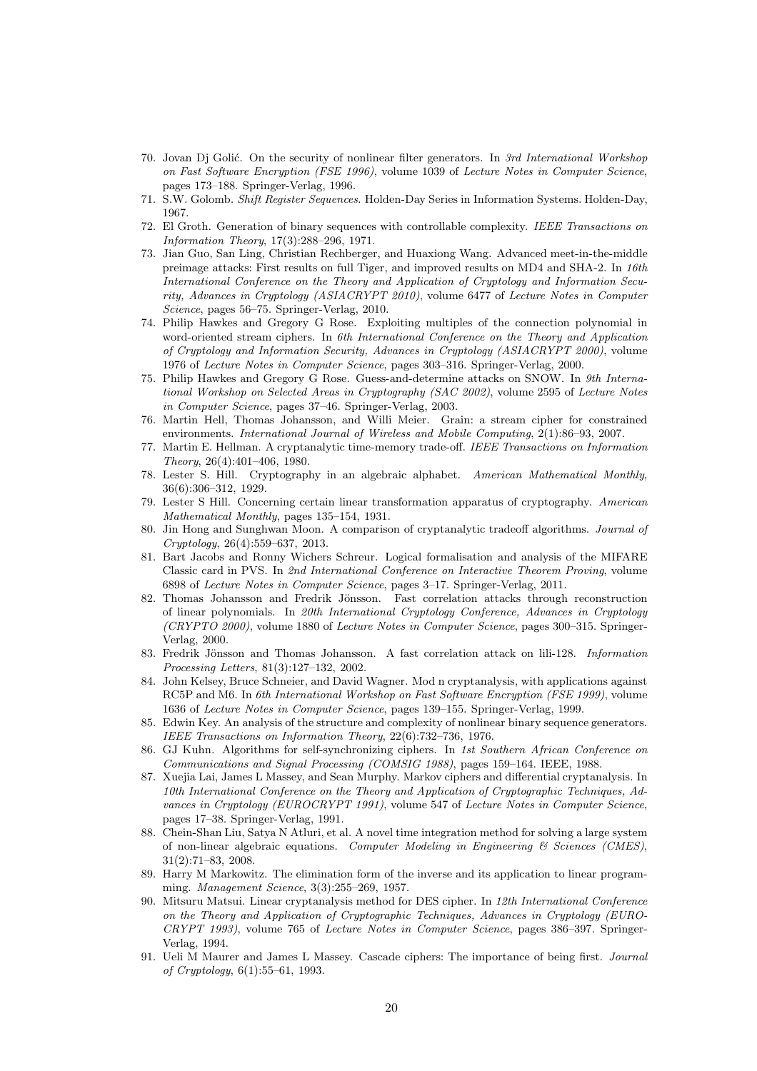- <span id="page-19-10"></span>70. Jovan Dj Goli´c. On the security of nonlinear filter generators. In 3rd International Workshop on Fast Software Encryption (FSE 1996), volume 1039 of Lecture Notes in Computer Science, pages 173–188. Springer-Verlag, 1996.
- <span id="page-19-1"></span><span id="page-19-0"></span>71. S.W. Golomb. Shift Register Sequences. Holden-Day Series in Information Systems. Holden-Day, 1967.
- 72. El Groth. Generation of binary sequences with controllable complexity. IEEE Transactions on Information Theory, 17(3):288–296, 1971.
- <span id="page-19-20"></span>73. Jian Guo, San Ling, Christian Rechberger, and Huaxiong Wang. Advanced meet-in-the-middle preimage attacks: First results on full Tiger, and improved results on MD4 and SHA-2. In 16th International Conference on the Theory and Application of Cryptology and Information Security, Advances in Cryptology (ASIACRYPT 2010), volume 6477 of Lecture Notes in Computer Science, pages 56–75. Springer-Verlag, 2010.
- <span id="page-19-12"></span>74. Philip Hawkes and Gregory G Rose. Exploiting multiples of the connection polynomial in word-oriented stream ciphers. In 6th International Conference on the Theory and Application of Cryptology and Information Security, Advances in Cryptology (ASIACRYPT 2000), volume 1976 of Lecture Notes in Computer Science, pages 303–316. Springer-Verlag, 2000.
- <span id="page-19-13"></span>75. Philip Hawkes and Gregory G Rose. Guess-and-determine attacks on SNOW. In 9th International Workshop on Selected Areas in Cryptography (SAC 2002), volume 2595 of Lecture Notes in Computer Science, pages 37–46. Springer-Verlag, 2003.
- <span id="page-19-3"></span>76. Martin Hell, Thomas Johansson, and Willi Meier. Grain: a stream cipher for constrained environments. International Journal of Wireless and Mobile Computing, 2(1):86–93, 2007.
- <span id="page-19-5"></span>77. Martin E. Hellman. A cryptanalytic time-memory trade-off. IEEE Transactions on Information Theory, 26(4):401–406, 1980.
- <span id="page-19-15"></span>78. Lester S. Hill. Cryptography in an algebraic alphabet. American Mathematical Monthly, 36(6):306–312, 1929.
- <span id="page-19-16"></span>79. Lester S Hill. Concerning certain linear transformation apparatus of cryptography. American Mathematical Monthly, pages 135–154, 1931.
- <span id="page-19-6"></span>80. Jin Hong and Sunghwan Moon. A comparison of cryptanalytic tradeoff algorithms. Journal of Cryptology, 26(4):559–637, 2013.
- <span id="page-19-7"></span>81. Bart Jacobs and Ronny Wichers Schreur. Logical formalisation and analysis of the MIFARE Classic card in PVS. In 2nd International Conference on Interactive Theorem Proving, volume 6898 of Lecture Notes in Computer Science, pages 3–17. Springer-Verlag, 2011.
- <span id="page-19-8"></span>82. Thomas Johansson and Fredrik Jönsson. Fast correlation attacks through reconstruction of linear polynomials. In 20th International Cryptology Conference, Advances in Cryptology (CRYPTO 2000), volume 1880 of Lecture Notes in Computer Science, pages 300–315. Springer-Verlag, 2000.
- <span id="page-19-9"></span>83. Fredrik Jönsson and Thomas Johansson. A fast correlation attack on lili-128. *Information* Processing Letters, 81(3):127–132, 2002.
- <span id="page-19-4"></span>84. John Kelsey, Bruce Schneier, and David Wagner. Mod n cryptanalysis, with applications against RC5P and M6. In 6th International Workshop on Fast Software Encryption (FSE 1999), volume 1636 of Lecture Notes in Computer Science, pages 139–155. Springer-Verlag, 1999.
- <span id="page-19-2"></span>85. Edwin Key. An analysis of the structure and complexity of nonlinear binary sequence generators. IEEE Transactions on Information Theory, 22(6):732–736, 1976.
- <span id="page-19-11"></span>86. GJ Kuhn. Algorithms for self-synchronizing ciphers. In 1st Southern African Conference on Communications and Signal Processing (COMSIG 1988), pages 159–164. IEEE, 1988.
- <span id="page-19-14"></span>87. Xuejia Lai, James L Massey, and Sean Murphy. Markov ciphers and differential cryptanalysis. In 10th International Conference on the Theory and Application of Cryptographic Techniques, Advances in Cryptology (EUROCRYPT 1991), volume 547 of Lecture Notes in Computer Science, pages 17–38. Springer-Verlag, 1991.
- <span id="page-19-19"></span>88. Chein-Shan Liu, Satya N Atluri, et al. A novel time integration method for solving a large system of non-linear algebraic equations. Computer Modeling in Engineering  $\mathcal{C}$  Sciences (CMES), 31(2):71–83, 2008.
- <span id="page-19-18"></span>89. Harry M Markowitz. The elimination form of the inverse and its application to linear programming. Management Science, 3(3):255–269, 1957.
- <span id="page-19-17"></span>90. Mitsuru Matsui. Linear cryptanalysis method for DES cipher. In 12th International Conference on the Theory and Application of Cryptographic Techniques, Advances in Cryptology (EURO-CRYPT 1993), volume 765 of Lecture Notes in Computer Science, pages 386–397. Springer-Verlag, 1994.
- <span id="page-19-21"></span>91. Ueli M Maurer and James L Massey. Cascade ciphers: The importance of being first. Journal of Cryptology, 6(1):55–61, 1993.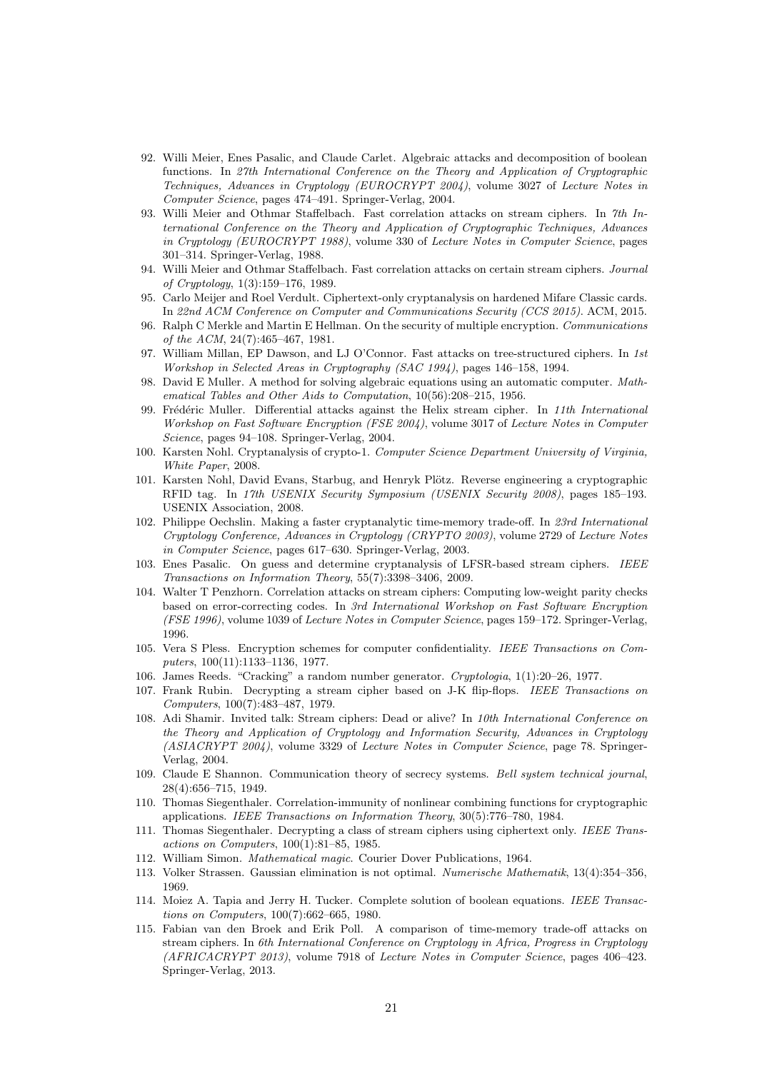- <span id="page-20-19"></span>92. Willi Meier, Enes Pasalic, and Claude Carlet. Algebraic attacks and decomposition of boolean functions. In 27th International Conference on the Theory and Application of Cryptographic Techniques, Advances in Cryptology (EUROCRYPT 2004), volume 3027 of Lecture Notes in Computer Science, pages 474–491. Springer-Verlag, 2004.
- <span id="page-20-8"></span>93. Willi Meier and Othmar Staffelbach. Fast correlation attacks on stream ciphers. In 7th International Conference on the Theory and Application of Cryptographic Techniques, Advances in Cryptology (EUROCRYPT 1988), volume 330 of Lecture Notes in Computer Science, pages 301–314. Springer-Verlag, 1988.
- <span id="page-20-9"></span>94. Willi Meier and Othmar Staffelbach. Fast correlation attacks on certain stream ciphers. Journal of Cryptology, 1(3):159–176, 1989.
- <span id="page-20-5"></span>95. Carlo Meijer and Roel Verdult. Ciphertext-only cryptanalysis on hardened Mifare Classic cards. In 22nd ACM Conference on Computer and Communications Security (CCS 2015). ACM, 2015.
- <span id="page-20-23"></span>96. Ralph C Merkle and Martin E Hellman. On the security of multiple encryption. Communications of the ACM, 24(7):465–467, 1981.
- <span id="page-20-10"></span>97. William Millan, EP Dawson, and LJ O'Connor. Fast attacks on tree-structured ciphers. In 1st Workshop in Selected Areas in Cryptography (SAC 1994), pages 146–158, 1994.
- <span id="page-20-21"></span>98. David E Muller. A method for solving algebraic equations using an automatic computer. Mathematical Tables and Other Aids to Computation, 10(56):208–215, 1956.
- <span id="page-20-15"></span>99. Frédéric Muller. Differential attacks against the Helix stream cipher. In 11th International Workshop on Fast Software Encryption (FSE 2004), volume 3017 of Lecture Notes in Computer Science, pages 94–108. Springer-Verlag, 2004.
- <span id="page-20-6"></span>100. Karsten Nohl. Cryptanalysis of crypto-1. Computer Science Department University of Virginia, White Paper, 2008.
- <span id="page-20-7"></span>101. Karsten Nohl, David Evans, Starbug, and Henryk Plötz. Reverse engineering a cryptographic RFID tag. In 17th USENIX Security Symposium (USENIX Security 2008), pages 185–193. USENIX Association, 2008.
- <span id="page-20-3"></span>102. Philippe Oechslin. Making a faster cryptanalytic time-memory trade-off. In 23rd International Cryptology Conference, Advances in Cryptology (CRYPTO 2003), volume 2729 of Lecture Notes in Computer Science, pages 617–630. Springer-Verlag, 2003.
- <span id="page-20-14"></span>103. Enes Pasalic. On guess and determine cryptanalysis of LFSR-based stream ciphers. IEEE Transactions on Information Theory, 55(7):3398–3406, 2009.
- <span id="page-20-11"></span>104. Walter T Penzhorn. Correlation attacks on stream ciphers: Computing low-weight parity checks based on error-correcting codes. In 3rd International Workshop on Fast Software Encryption (FSE 1996), volume 1039 of Lecture Notes in Computer Science, pages 159–172. Springer-Verlag, 1996.
- <span id="page-20-2"></span>105. Vera S Pless. Encryption schemes for computer confidentiality. IEEE Transactions on Computers, 100(11):1133–1136, 1977.
- <span id="page-20-18"></span><span id="page-20-17"></span>106. James Reeds. "Cracking" a random number generator. Cryptologia, 1(1):20–26, 1977.
- 107. Frank Rubin. Decrypting a stream cipher based on J-K flip-flops. IEEE Transactions on Computers, 100(7):483–487, 1979.
- <span id="page-20-0"></span>108. Adi Shamir. Invited talk: Stream ciphers: Dead or alive? In 10th International Conference on the Theory and Application of Cryptology and Information Security, Advances in Cryptology (ASIACRYPT 2004), volume 3329 of Lecture Notes in Computer Science, page 78. Springer-Verlag, 2004.
- <span id="page-20-1"></span>109. Claude E Shannon. Communication theory of secrecy systems. Bell system technical journal, 28(4):656–715, 1949.
- <span id="page-20-12"></span>110. Thomas Siegenthaler. Correlation-immunity of nonlinear combining functions for cryptographic applications. IEEE Transactions on Information Theory, 30(5):776–780, 1984.
- <span id="page-20-13"></span>111. Thomas Siegenthaler. Decrypting a class of stream ciphers using ciphertext only. IEEE Transactions on Computers, 100(1):81–85, 1985.
- <span id="page-20-22"></span><span id="page-20-16"></span>112. William Simon. Mathematical magic. Courier Dover Publications, 1964.
- <span id="page-20-20"></span>113. Volker Strassen. Gaussian elimination is not optimal. Numerische Mathematik, 13(4):354–356, 1969.
- 114. Moiez A. Tapia and Jerry H. Tucker. Complete solution of boolean equations. IEEE Transactions on Computers, 100(7):662–665, 1980.
- <span id="page-20-4"></span>115. Fabian van den Broek and Erik Poll. A comparison of time-memory trade-off attacks on stream ciphers. In 6th International Conference on Cryptology in Africa, Progress in Cryptology (AFRICACRYPT 2013), volume 7918 of Lecture Notes in Computer Science, pages 406–423. Springer-Verlag, 2013.